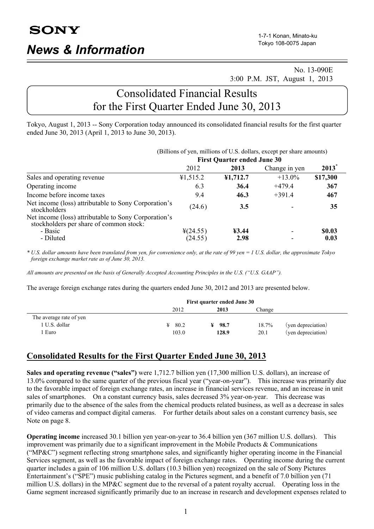## No. 13-090E 3:00 P.M. JST, August 1, 2013

# Consolidated Financial Results for the First Quarter Ended June 30, 2013

Tokyo, August 1, 2013 -- Sony Corporation today announced its consolidated financial results for the first quarter ended June 30, 2013 (April 1, 2013 to June 30, 2013).

|                                                                                                 |                      |                                    | (Billions of yen, millions of U.S. dollars, except per share amounts) |          |
|-------------------------------------------------------------------------------------------------|----------------------|------------------------------------|-----------------------------------------------------------------------|----------|
|                                                                                                 |                      | <b>First Quarter ended June 30</b> |                                                                       |          |
|                                                                                                 | 2012                 | 2013                               | Change in yen                                                         | $2013^*$ |
| Sales and operating revenue                                                                     | 41,515.2             | 41,712.7                           | $+13.0\%$                                                             | \$17,300 |
| Operating income                                                                                | 6.3                  | 36.4                               | $+479.4$                                                              | 367      |
| Income before income taxes                                                                      | 9.4                  | 46.3                               | $+391.4$                                                              | 467      |
| Net income (loss) attributable to Sony Corporation's<br>stockholders                            | (24.6)               | 3.5                                |                                                                       | 35       |
| Net income (loss) attributable to Sony Corporation's<br>stockholders per share of common stock: |                      |                                    |                                                                       |          |
| - Basic                                                                                         | $\frac{1}{2}(24.55)$ | $\textcolor{blue}{4}3.44$          |                                                                       | \$0.03   |
| - Diluted                                                                                       | (24.55)              | 2.98                               |                                                                       | 0.03     |

*\* U.S. dollar amounts have been translated from yen, for convenience only, at the rate of 99 yen = 1 U.S. dollar, the approximate Tokyo foreign exchange market rate as of June 30, 2013.* 

*All amounts are presented on the basis of Generally Accepted Accounting Principles in the U.S. ("U.S. GAAP").* 

The average foreign exchange rates during the quarters ended June 30, 2012 and 2013 are presented below.

|                         |       | <b>First quarter ended June 30</b> |        |                    |
|-------------------------|-------|------------------------------------|--------|--------------------|
|                         | 2012  | 2013                               | Change |                    |
| The average rate of yen |       |                                    |        |                    |
| 1 U.S. dollar           | 80.2  | 98.7<br>¥                          | 18.7%  | (yen depreciation) |
| Euro                    | 103.0 | 128.9                              | 20.1   | (yen depreciation) |

## **Consolidated Results for the First Quarter Ended June 30, 2013**

**Sales and operating revenue ("sales")** were 1,712.7 billion yen (17,300 million U.S. dollars), an increase of 13.0% compared to the same quarter of the previous fiscal year ("year-on-year"). This increase was primarily due to the favorable impact of foreign exchange rates, an increase in financial services revenue, and an increase in unit sales of smartphones. On a constant currency basis, sales decreased 3% year-on-year. This decrease was primarily due to the absence of the sales from the chemical products related business, as well as a decrease in sales of video cameras and compact digital cameras. For further details about sales on a constant currency basis, see Note on page 8.

**Operating income** increased 30.1 billion yen year-on-year to 36.4 billion yen (367 million U.S. dollars). This improvement was primarily due to a significant improvement in the Mobile Products & Communications ("MP&C") segment reflecting strong smartphone sales, and significantly higher operating income in the Financial Services segment, as well as the favorable impact of foreign exchange rates. Operating income during the current quarter includes a gain of 106 million U.S. dollars (10.3 billion yen) recognized on the sale of Sony Pictures Entertainment's ("SPE") music publishing catalog in the Pictures segment, and a benefit of 7.0 billion yen (71 million U.S. dollars) in the MP&C segment due to the reversal of a patent royalty accrual. Operating loss in the Game segment increased significantly primarily due to an increase in research and development expenses related to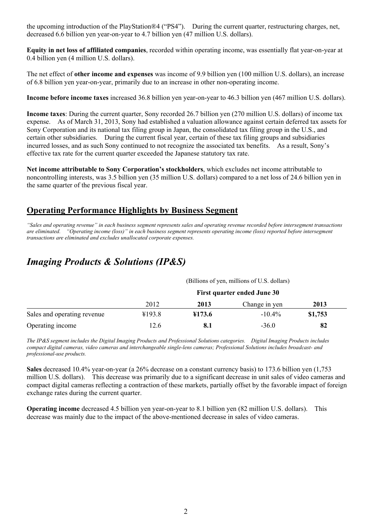the upcoming introduction of the PlayStation®4 ("PS4"). During the current quarter, restructuring charges, net, decreased 6.6 billion yen year-on-year to 4.7 billion yen (47 million U.S. dollars).

**Equity in net loss of affiliated companies**, recorded within operating income, was essentially flat year-on-year at 0.4 billion yen (4 million U.S. dollars).

The net effect of **other income and expenses** was income of 9.9 billion yen (100 million U.S. dollars), an increase of 6.8 billion yen year-on-year, primarily due to an increase in other non-operating income.

**Income before income taxes** increased 36.8 billion yen year-on-year to 46.3 billion yen (467 million U.S. dollars).

**Income taxes**: During the current quarter, Sony recorded 26.7 billion yen (270 million U.S. dollars) of income tax expense. As of March 31, 2013, Sony had established a valuation allowance against certain deferred tax assets for Sony Corporation and its national tax filing group in Japan, the consolidated tax filing group in the U.S., and certain other subsidiaries. During the current fiscal year, certain of these tax filing groups and subsidiaries incurred losses, and as such Sony continued to not recognize the associated tax benefits. As a result, Sony's effective tax rate for the current quarter exceeded the Japanese statutory tax rate.

**Net income attributable to Sony Corporation's stockholders**, which excludes net income attributable to noncontrolling interests, was 3.5 billion yen (35 million U.S. dollars) compared to a net loss of 24.6 billion yen in the same quarter of the previous fiscal year.

## **Operating Performance Highlights by Business Segment**

*"Sales and operating revenue" in each business segment represents sales and operating revenue recorded before intersegment transactions are eliminated. "Operating income (loss)" in each business segment represents operating income (loss) reported before intersegment transactions are eliminated and excludes unallocated corporate expenses.*

# *Imaging Products & Solutions (IP&S)*

|                             |        |        | <b>First quarter ended June 30</b> |         |  |
|-----------------------------|--------|--------|------------------------------------|---------|--|
|                             | 2012   | 2013   | Change in yen                      | 2013    |  |
| Sales and operating revenue | ¥193.8 | ¥173.6 | $-10.4\%$                          | \$1,753 |  |
| Operating income            | 12.6   | 8.1    | $-36.0$                            | 82      |  |

(Billions of yen, millions of U.S. dollars)

*The IP&S segment includes the Digital Imaging Products and Professional Solutions categories. Digital Imaging Products includes compact digital cameras, video cameras and interchangeable single-lens cameras; Professional Solutions includes broadcast- and professional-use products.* 

**Sales** decreased 10.4% year-on-year (a 26% decrease on a constant currency basis) to 173.6 billion yen (1,753 million U.S. dollars). This decrease was primarily due to a significant decrease in unit sales of video cameras and compact digital cameras reflecting a contraction of these markets, partially offset by the favorable impact of foreign exchange rates during the current quarter.

**Operating income** decreased 4.5 billion yen year-on-year to 8.1 billion yen (82 million U.S. dollars). This decrease was mainly due to the impact of the above-mentioned decrease in sales of video cameras.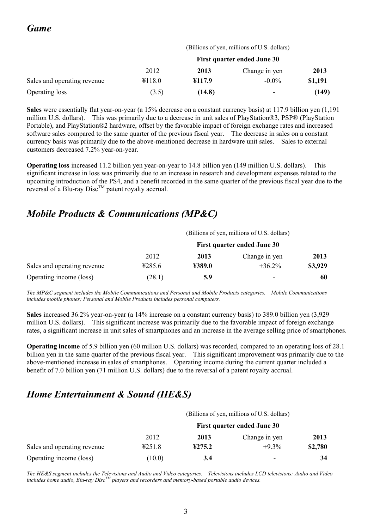## *Game*

| (Billions of yen, millions of U.S. dollars) |  |  |  |
|---------------------------------------------|--|--|--|
|---------------------------------------------|--|--|--|

|                             | <b>First quarter ended June 30</b> |        |                          |         |
|-----------------------------|------------------------------------|--------|--------------------------|---------|
|                             | 2012                               | 2013   | Change in yen            | 2013    |
| Sales and operating revenue | ¥118.0                             | ¥117.9 | $-0.0\%$                 | \$1,191 |
| Operating loss              | (3.5)                              | (14.8) | $\overline{\phantom{0}}$ | (149)   |

**Sales** were essentially flat year-on-year (a 15% decrease on a constant currency basis) at 117.9 billion yen (1,191 million U.S. dollars). This was primarily due to a decrease in unit sales of PlayStation®3, PSP® (PlayStation Portable), and PlayStation®2 hardware, offset by the favorable impact of foreign exchange rates and increased software sales compared to the same quarter of the previous fiscal year. The decrease in sales on a constant currency basis was primarily due to the above-mentioned decrease in hardware unit sales. Sales to external customers decreased 7.2% year-on-year.

**Operating loss** increased 11.2 billion yen year-on-year to 14.8 billion yen (149 million U.S. dollars). This significant increase in loss was primarily due to an increase in research and development expenses related to the upcoming introduction of the PS4, and a benefit recorded in the same quarter of the previous fiscal year due to the reversal of a Blu-ray Disc<sup>TM</sup> patent royalty accrual.

## *Mobile Products & Communications (MP&C)*

|                             | <b>First quarter ended June 30</b> |        |                |         |  |
|-----------------------------|------------------------------------|--------|----------------|---------|--|
|                             | 2012                               | 2013   | Change in yen  | 2013    |  |
| Sales and operating revenue | 4285.6                             | ¥389.0 | $+36.2\%$      | \$3,929 |  |
| Operating income (loss)     | (28.1)                             | 5.9    | $\overline{a}$ | 60      |  |

*The MP&C segment includes the Mobile Communications and Personal and Mobile Products categories. Mobile Communications includes mobile phones; Personal and Mobile Products includes personal computers.* 

**Sales** increased 36.2% year-on-year (a 14% increase on a constant currency basis) to 389.0 billion yen (3,929 million U.S. dollars). This significant increase was primarily due to the favorable impact of foreign exchange rates, a significant increase in unit sales of smartphones and an increase in the average selling price of smartphones.

**Operating income** of 5.9 billion yen (60 million U.S. dollars) was recorded, compared to an operating loss of 28.1 billion yen in the same quarter of the previous fiscal year. This significant improvement was primarily due to the above-mentioned increase in sales of smartphones. Operating income during the current quarter included a benefit of 7.0 billion yen (71 million U.S. dollars) due to the reversal of a patent royalty accrual.

# *Home Entertainment & Sound (HE&S)*

|                             |        |        | (Billions of yen, millions of U.S. dollars) |         |
|-----------------------------|--------|--------|---------------------------------------------|---------|
|                             |        |        | First quarter ended June 30                 |         |
|                             | 2012   | 2013   | Change in yen                               | 2013    |
| Sales and operating revenue | 4251.8 | 4275.2 | $+9.3\%$                                    | \$2,780 |
| Operating income (loss)     | (10.0) | 3.4    | $\overline{\phantom{a}}$                    | 34      |

*The HE&S segment includes the Televisions and Audio and Video categories. Televisions includes LCD televisions; Audio and Video includes home audio, Blu-ray DiscTM players and recorders and memory-based portable audio devices.*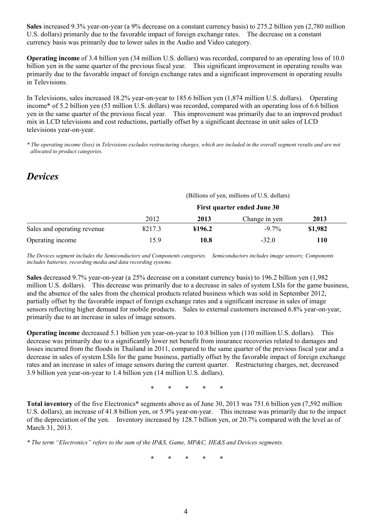**Sales** increased 9.3% year-on-year (a 9% decrease on a constant currency basis) to 275.2 billion yen (2,780 million U.S. dollars) primarily due to the favorable impact of foreign exchange rates. The decrease on a constant currency basis was primarily due to lower sales in the Audio and Video category.

**Operating income** of 3.4 billion yen (34 million U.S. dollars) was recorded, compared to an operating loss of 10.0 billion yen in the same quarter of the previous fiscal year. This significant improvement in operating results was primarily due to the favorable impact of foreign exchange rates and a significant improvement in operating results in Televisions.

In Televisions, sales increased 18.2% year-on-year to 185.6 billion yen (1,874 million U.S. dollars). Operating income\* of 5.2 billion yen (53 million U.S. dollars) was recorded, compared with an operating loss of 6.6 billion yen in the same quarter of the previous fiscal year. This improvement was primarily due to an improved product mix in LCD televisions and cost reductions, partially offset by a significant decrease in unit sales of LCD televisions year-on-year.

*\* The operating income (loss) in Televisions excludes restructuring charges, which are included in the overall segment results and are not allocated to product categories.*

## *Devices*

|                             |                                    |        | (Billions of yen, millions of U.S. dollars) |         |  |
|-----------------------------|------------------------------------|--------|---------------------------------------------|---------|--|
|                             | <b>First quarter ended June 30</b> |        |                                             |         |  |
|                             | 2012                               | 2013   | Change in yen                               | 2013    |  |
| Sales and operating revenue | 4217.3                             | ¥196.2 | $-9.7\%$                                    | \$1,982 |  |
| Operating income            | 15.9                               | 10.8   | $-32.0$                                     | 110     |  |

*The Devices segment includes the Semiconductors and Components categories. Semiconductors includes image sensors; Components includes batteries, recording media and data recording systems.* 

**Sales** decreased 9.7% year-on-year (a 25% decrease on a constant currency basis) to 196.2 billion yen (1,982 million U.S. dollars). This decrease was primarily due to a decrease in sales of system LSIs for the game business, and the absence of the sales from the chemical products related business which was sold in September 2012, partially offset by the favorable impact of foreign exchange rates and a significant increase in sales of image sensors reflecting higher demand for mobile products. Sales to external customers increased 6.8% year-on-year, primarily due to an increase in sales of image sensors.

**Operating income** decreased 5.1 billion yen year-on-year to 10.8 billion yen (110 million U.S. dollars). This decrease was primarily due to a significantly lower net benefit from insurance recoveries related to damages and losses incurred from the floods in Thailand in 2011, compared to the same quarter of the previous fiscal year and a decrease in sales of system LSIs for the game business, partially offset by the favorable impact of foreign exchange rates and an increase in sales of image sensors during the current quarter. Restructuring charges, net, decreased 3.9 billion yen year-on-year to 1.4 billion yen (14 million U.S. dollars).

\* \* \* \* \*

**Total inventory** of the five Electronics\* segments above as of June 30, 2013 was 751.6 billion yen (7,592 million U.S. dollars), an increase of 41.8 billion yen, or 5.9% year-on-year. This increase was primarily due to the impact of the depreciation of the yen. Inventory increased by 128.7 billion yen, or 20.7% compared with the level as of March 31, 2013.

*\* The term "Electronics" refers to the sum of the IP&S, Game, MP&C, HE&S and Devices segments.* 

\* \* \* \* \*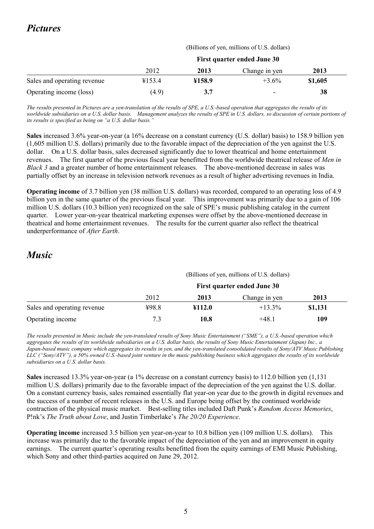# *Pictures*

### (Billions of yen, millions of U.S. dollars)

|                             | First quarter ended June 30 |        |                          |         |  |
|-----------------------------|-----------------------------|--------|--------------------------|---------|--|
|                             | 2012                        | 2013   | Change in yen            | 2013    |  |
| Sales and operating revenue | ¥153.4                      | ¥158.9 | $+3.6\%$                 | \$1,605 |  |
| Operating income (loss)     | (4.9)                       | 3.7    | $\overline{\phantom{0}}$ | 38      |  |

*The results presented in Pictures are a yen-translation of the results of SPE, a U.S.-based operation that aggregates the results of its*  worldwide subsidiaries on a U.S. dollar basis. Management analyzes the results of SPE in U.S. dollars, so discussion of certain portions of *its results is specified as being on "a U.S. dollar basis."* 

**Sales** increased 3.6% year-on-year (a 16% decrease on a constant currency (U.S. dollar) basis) to 158.9 billion yen (1,605 million U.S. dollars) primarily due to the favorable impact of the depreciation of the yen against the U.S. dollar. On a U.S. dollar basis, sales decreased significantly due to lower theatrical and home entertainment revenues. The first quarter of the previous fiscal year benefitted from the worldwide theatrical release of *Men in Black 3* and a greater number of home entertainment releases. The above-mentioned decrease in sales was partially offset by an increase in television network revenues as a result of higher advertising revenues in India.

**Operating income** of 3.7 billion yen (38 million U.S. dollars) was recorded, compared to an operating loss of 4.9 billion yen in the same quarter of the previous fiscal year. This improvement was primarily due to a gain of 106 million U.S. dollars (10.3 billion yen) recognized on the sale of SPE's music publishing catalog in the current quarter. Lower year-on-year theatrical marketing expenses were offset by the above-mentioned decrease in theatrical and home entertainment revenues. The results for the current quarter also reflect the theatrical underperformance of *After Earth*.

## *Music*

(Billions of yen, millions of U.S. dollars)

|                             | <b>First quarter ended June 30</b> |        |               |         |
|-----------------------------|------------------------------------|--------|---------------|---------|
|                             | 2012                               | 2013   | Change in yen | 2013    |
| Sales and operating revenue | ¥98.8                              | ¥112.0 | $+13.3\%$     | \$1,131 |
| Operating income            | 7.3                                | 10.8   | $+48.1$       | 109     |

*The results presented in Music include the yen-translated results of Sony Music Entertainment ("SME"), a U.S.-based operation which aggregates the results of its worldwide subsidiaries on a U.S. dollar basis, the results of Sony Music Entertainment (Japan) Inc., a Japan-based music company which aggregates its results in yen, and the yen-translated consolidated results of Sony/ATV Music Publishing LLC ("Sony/ATV"), a 50% owned U.S.-based joint venture in the music publishing business which aggregates the results of its worldwide subsidiaries on a U.S. dollar basis.* 

**Sales** increased 13.3% year-on-year (a 1% decrease on a constant currency basis) to 112.0 billion yen (1,131 million U.S. dollars) primarily due to the favorable impact of the depreciation of the yen against the U.S. dollar. On a constant currency basis, sales remained essentially flat year-on year due to the growth in digital revenues and the success of a number of recent releases in the U.S. and Europe being offset by the continued worldwide contraction of the physical music market. Best-selling titles included Daft Punk's *Random Access Memories*, P!nk's *The Truth about Love*, and Justin Timberlake's *The 20/20 Experience*.

**Operating income** increased 3.5 billion yen year-on-year to 10.8 billion yen (109 million U.S. dollars). This increase was primarily due to the favorable impact of the depreciation of the yen and an improvement in equity earnings. The current quarter's operating results benefitted from the equity earnings of EMI Music Publishing, which Sony and other third-parties acquired on June 29, 2012.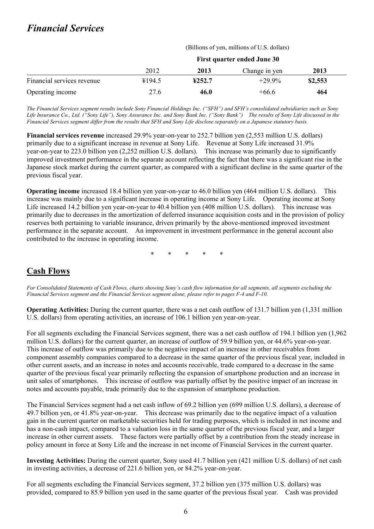# *Financial Services*

(Billions of yen, millions of U.S. dollars)

|                            | First quarter ended June 30 |        |               |         |
|----------------------------|-----------------------------|--------|---------------|---------|
|                            | 2012                        | 2013   | Change in yen | 2013    |
| Financial services revenue | ¥194.5                      | 4252.7 | $+29.9\%$     | \$2,553 |
| Operating income           | 27.6                        | 46.0   | $+66.6$       | 464     |

*The Financial Services segment results include Sony Financial Holdings Inc. ("SFH") and SFH's consolidated subsidiaries such as Sony Life Insurance Co., Ltd. ("Sony Life"), Sony Assurance Inc. and Sony Bank Inc. ("Sony Bank") The results of Sony Life discussed in the Financial Services segment differ from the results that SFH and Sony Life disclose separately on a Japanese statutory basis.* 

**Financial services revenue** increased 29.9% year-on-year to 252.7 billion yen (2,553 million U.S. dollars) primarily due to a significant increase in revenue at Sony Life. Revenue at Sony Life increased 31.9% year-on-year to 223.0 billion yen (2,252 million U.S. dollars). This increase was primarily due to significantly improved investment performance in the separate account reflecting the fact that there was a significant rise in the Japanese stock market during the current quarter, as compared with a significant decline in the same quarter of the previous fiscal year.

**Operating income** increased 18.4 billion yen year-on-year to 46.0 billion yen (464 million U.S. dollars). This increase was mainly due to a significant increase in operating income at Sony Life. Operating income at Sony Life increased 14.2 billion yen year-on-year to 40.4 billion yen (408 million U.S. dollars). This increase was primarily due to decreases in the amortization of deferred insurance acquisition costs and in the provision of policy reserves both pertaining to variable insurance, driven primarily by the above-mentioned improved investment performance in the separate account. An improvement in investment performance in the general account also contributed to the increase in operating income.

\* \* \* \* \*

## **Cash Flows**

*For Consolidated Statements of Cash Flows, charts showing Sony's cash flow information for all segments, all segments excluding the Financial Services segment and the Financial Services segment alone, please refer to pages F-4 and F-10.* 

**Operating Activities:** During the current quarter, there was a net cash outflow of 131.7 billion yen (1,331 million U.S. dollars) from operating activities, an increase of 106.1 billion yen year-on-year.

For all segments excluding the Financial Services segment, there was a net cash outflow of 194.1 billion yen (1,962 million U.S. dollars) for the current quarter, an increase of outflow of 59.9 billion yen, or 44.6% year-on-year. This increase of outflow was primarily due to the negative impact of an increase in other receivables from component assembly companies compared to a decrease in the same quarter of the previous fiscal year, included in other current assets, and an increase in notes and accounts receivable, trade compared to a decrease in the same quarter of the previous fiscal year primarily reflecting the expansion of smartphone production and an increase in unit sales of smartphones. This increase of outflow was partially offset by the positive impact of an increase in notes and accounts payable, trade primarily due to the expansion of smartphone production.

The Financial Services segment had a net cash inflow of 69.2 billion yen (699 million U.S. dollars), a decrease of 49.7 billion yen, or 41.8% year-on-year. This decrease was primarily due to the negative impact of a valuation gain in the current quarter on marketable securities held for trading purposes, which is included in net income and has a non-cash impact, compared to a valuation loss in the same quarter of the previous fiscal year, and a larger increase in other current assets. These factors were partially offset by a contribution from the steady increase in policy amount in force at Sony Life and the increase in net income of Financial Services in the current quarter.

**Investing Activities:** During the current quarter, Sony used 41.7 billion yen (421 million U.S. dollars) of net cash in investing activities, a decrease of 221.6 billion yen, or 84.2% year-on-year.

For all segments excluding the Financial Services segment, 37.2 billion yen (375 million U.S. dollars) was provided, compared to 85.9 billion yen used in the same quarter of the previous fiscal year. Cash was provided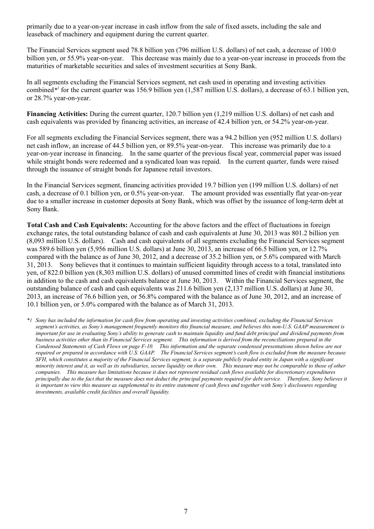primarily due to a year-on-year increase in cash inflow from the sale of fixed assets, including the sale and leaseback of machinery and equipment during the current quarter.

The Financial Services segment used 78.8 billion yen (796 million U.S. dollars) of net cash, a decrease of 100.0 billion yen, or 55.9% year-on-year. This decrease was mainly due to a year-on-year increase in proceeds from the maturities of marketable securities and sales of investment securities at Sony Bank.

In all segments excluding the Financial Services segment, net cash used in operating and investing activities combined<sup>\*</sup><sup>*I*</sup> for the current quarter was 156.9 billion yen (1,587 million U.S. dollars), a decrease of 63.1 billion yen, or 28.7% year-on-year.

**Financing Activities:** During the current quarter, 120.7 billion yen (1,219 million U.S. dollars) of net cash and cash equivalents was provided by financing activities, an increase of 42.4 billion yen, or 54.2% year-on-year.

For all segments excluding the Financial Services segment, there was a 94.2 billion yen (952 million U.S. dollars) net cash inflow, an increase of 44.5 billion yen, or 89.5% year-on-year. This increase was primarily due to a year-on-year increase in financing. In the same quarter of the previous fiscal year, commercial paper was issued while straight bonds were redeemed and a syndicated loan was repaid. In the current quarter, funds were raised through the issuance of straight bonds for Japanese retail investors.

In the Financial Services segment, financing activities provided 19.7 billion yen (199 million U.S. dollars) of net cash, a decrease of 0.1 billion yen, or 0.5% year-on-year. The amount provided was essentially flat year-on-year due to a smaller increase in customer deposits at Sony Bank, which was offset by the issuance of long-term debt at Sony Bank.

**Total Cash and Cash Equivalents:** Accounting for the above factors and the effect of fluctuations in foreign exchange rates, the total outstanding balance of cash and cash equivalents at June 30, 2013 was 801.2 billion yen (8,093 million U.S. dollars). Cash and cash equivalents of all segments excluding the Financial Services segment was 589.6 billion yen (5,956 million U.S. dollars) at June 30, 2013, an increase of 66.5 billion yen, or 12.7% compared with the balance as of June 30, 2012, and a decrease of 35.2 billion yen, or 5.6% compared with March 31, 2013. Sony believes that it continues to maintain sufficient liquidity through access to a total, translated into yen, of 822.0 billion yen (8,303 million U.S. dollars) of unused committed lines of credit with financial institutions in addition to the cash and cash equivalents balance at June 30, 2013. Within the Financial Services segment, the outstanding balance of cash and cash equivalents was 211.6 billion yen (2,137 million U.S. dollars) at June 30, 2013, an increase of 76.6 billion yen, or 56.8% compared with the balance as of June 30, 2012, and an increase of 10.1 billion yen, or 5.0% compared with the balance as of March 31, 2013.

*\*1 Sony has included the information for cash flow from operating and investing activities combined, excluding the Financial Services segment's activities, as Sony's management frequently monitors this financial measure, and believes this non-U.S. GAAP measurement is important for use in evaluating Sony's ability to generate cash to maintain liquidity and fund debt principal and dividend payments from business activities other than its Financial Services segment. This information is derived from the reconciliations prepared in the Condensed Statements of Cash Flows on page F-10. This information and the separate condensed presentations shown below are not required or prepared in accordance with U.S. GAAP. The Financial Services segment's cash flow is excluded from the measure because SFH, which constitutes a majority of the Financial Services segment, is a separate publicly traded entity in Japan with a significant minority interest and it, as well as its subsidiaries, secure liquidity on their own. This measure may not be comparable to those of other companies. This measure has limitations because it does not represent residual cash flows available for discretionary expenditures principally due to the fact that the measure does not deduct the principal payments required for debt service. Therefore, Sony believes it*  is important to view this measure as supplemental to its entire statement of cash flows and together with Sony's disclosures regarding *investments, available credit facilities and overall liquidity.*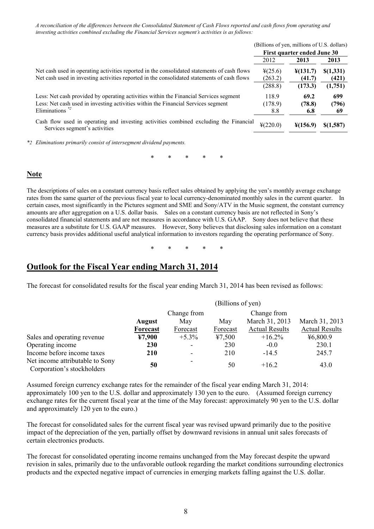*A reconciliation of the differences between the Consolidated Statement of Cash Flows reported and cash flows from operating and investing activities combined excluding the Financial Services segment's activities is as follows:* 

|                                                                                                                        | (Billions of yen, millions of U.S. dollars) |                      |           |
|------------------------------------------------------------------------------------------------------------------------|---------------------------------------------|----------------------|-----------|
|                                                                                                                        | First quarter ended June 30                 |                      |           |
|                                                                                                                        | 2012                                        | 2013                 | 2013      |
| Net cash used in operating activities reported in the consolidated statements of cash flows                            | $\frac{1}{2}(25.6)$                         | $\frac{1}{2}(131.7)$ | \$(1,331) |
| Net cash used in investing activities reported in the consolidated statements of cash flows                            | (263.2)                                     | (41.7)               | (421)     |
|                                                                                                                        | (288.8)                                     | (173.3)              | (1,751)   |
| Less: Net cash provided by operating activities within the Financial Services segment                                  | 118.9                                       | 69.2                 | 699       |
| Less: Net cash used in investing activities within the Financial Services segment                                      | (178.9)                                     | (78.8)               | (796)     |
| Eliminations $z^2$                                                                                                     | 8.8                                         | 6.8                  | 69        |
| Cash flow used in operating and investing activities combined excluding the Financial<br>Services segment's activities | $\frac{1}{2}(220.0)$                        | $\frac{1}{2}(156.9)$ | \$(1,587) |
|                                                                                                                        |                                             |                      |           |

*\*2 Eliminations primarily consist of intersegment dividend payments.* 

\* \* \* \* \*

## **Note**

The descriptions of sales on a constant currency basis reflect sales obtained by applying the yen's monthly average exchange rates from the same quarter of the previous fiscal year to local currency-denominated monthly sales in the current quarter. In certain cases, most significantly in the Pictures segment and SME and Sony/ATV in the Music segment, the constant currency amounts are after aggregation on a U.S. dollar basis. Sales on a constant currency basis are not reflected in Sony's consolidated financial statements and are not measures in accordance with U.S. GAAP. Sony does not believe that these measures are a substitute for U.S. GAAP measures. However, Sony believes that disclosing sales information on a constant currency basis provides additional useful analytical information to investors regarding the operating performance of Sony.

\* \* \* \* \*

## **Outlook for the Fiscal Year ending March 31, 2014**

The forecast for consolidated results for the fiscal year ending March 31, 2014 has been revised as follows:

|                                 |               |                          | (Billions of yen) |                       |                       |
|---------------------------------|---------------|--------------------------|-------------------|-----------------------|-----------------------|
|                                 |               | Change from              |                   | Change from           |                       |
|                                 | <b>August</b> | May                      | May               | March 31, 2013        | March 31, 2013        |
|                                 | Forecast      | Forecast                 | Forecast          | <b>Actual Results</b> | <b>Actual Results</b> |
| Sales and operating revenue     | ¥7,900        | $+5.3\%$                 | 47,500            | $+16.2%$              | 46,800.9              |
| Operating income                | 230           | $\overline{\phantom{0}}$ | 230               | $-0.0$                | 230.1                 |
| Income before income taxes      | 210           | $\overline{\phantom{0}}$ | 210               | $-14.5$               | 245.7                 |
| Net income attributable to Sony | 50            |                          | 50                | $+16.2$               | 43.0                  |
| Corporation's stockholders      |               |                          |                   |                       |                       |

Assumed foreign currency exchange rates for the remainder of the fiscal year ending March 31, 2014: approximately 100 yen to the U.S. dollar and approximately 130 yen to the euro. (Assumed foreign currency exchange rates for the current fiscal year at the time of the May forecast: approximately 90 yen to the U.S. dollar and approximately 120 yen to the euro.)

The forecast for consolidated sales for the current fiscal year was revised upward primarily due to the positive impact of the depreciation of the yen, partially offset by downward revisions in annual unit sales forecasts of certain electronics products.

The forecast for consolidated operating income remains unchanged from the May forecast despite the upward revision in sales, primarily due to the unfavorable outlook regarding the market conditions surrounding electronics products and the expected negative impact of currencies in emerging markets falling against the U.S. dollar.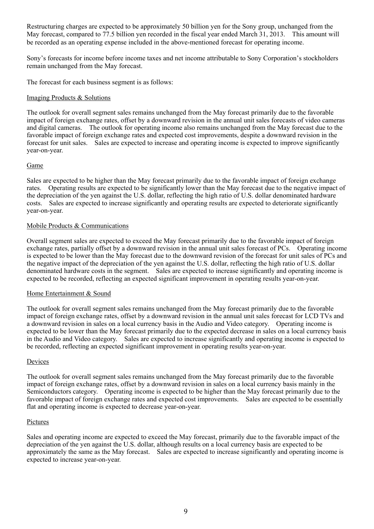Restructuring charges are expected to be approximately 50 billion yen for the Sony group, unchanged from the May forecast, compared to 77.5 billion yen recorded in the fiscal year ended March 31, 2013. This amount will be recorded as an operating expense included in the above-mentioned forecast for operating income.

Sony's forecasts for income before income taxes and net income attributable to Sony Corporation's stockholders remain unchanged from the May forecast.

The forecast for each business segment is as follows:

## Imaging Products & Solutions

The outlook for overall segment sales remains unchanged from the May forecast primarily due to the favorable impact of foreign exchange rates, offset by a downward revision in the annual unit sales forecasts of video cameras and digital cameras. The outlook for operating income also remains unchanged from the May forecast due to the favorable impact of foreign exchange rates and expected cost improvements, despite a downward revision in the forecast for unit sales. Sales are expected to increase and operating income is expected to improve significantly year-on-year.

## Game

Sales are expected to be higher than the May forecast primarily due to the favorable impact of foreign exchange rates. Operating results are expected to be significantly lower than the May forecast due to the negative impact of the depreciation of the yen against the U.S. dollar, reflecting the high ratio of U.S. dollar denominated hardware costs. Sales are expected to increase significantly and operating results are expected to deteriorate significantly year-on-year.

## Mobile Products & Communications

Overall segment sales are expected to exceed the May forecast primarily due to the favorable impact of foreign exchange rates, partially offset by a downward revision in the annual unit sales forecast of PCs. Operating income is expected to be lower than the May forecast due to the downward revision of the forecast for unit sales of PCs and the negative impact of the depreciation of the yen against the U.S. dollar, reflecting the high ratio of U.S. dollar denominated hardware costs in the segment. Sales are expected to increase significantly and operating income is expected to be recorded, reflecting an expected significant improvement in operating results year-on-year.

### Home Entertainment & Sound

The outlook for overall segment sales remains unchanged from the May forecast primarily due to the favorable impact of foreign exchange rates, offset by a downward revision in the annual unit sales forecast for LCD TVs and a downward revision in sales on a local currency basis in the Audio and Video category. Operating income is expected to be lower than the May forecast primarily due to the expected decrease in sales on a local currency basis in the Audio and Video category. Sales are expected to increase significantly and operating income is expected to be recorded, reflecting an expected significant improvement in operating results year-on-year.

### Devices

The outlook for overall segment sales remains unchanged from the May forecast primarily due to the favorable impact of foreign exchange rates, offset by a downward revision in sales on a local currency basis mainly in the Semiconductors category. Operating income is expected to be higher than the May forecast primarily due to the favorable impact of foreign exchange rates and expected cost improvements. Sales are expected to be essentially flat and operating income is expected to decrease year-on-year.

### **Pictures**

Sales and operating income are expected to exceed the May forecast, primarily due to the favorable impact of the depreciation of the yen against the U.S. dollar, although results on a local currency basis are expected to be approximately the same as the May forecast. Sales are expected to increase significantly and operating income is expected to increase year-on-year.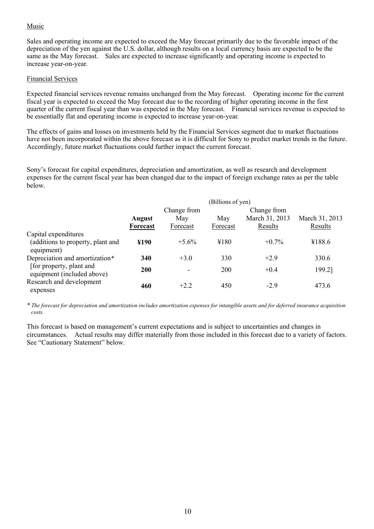## Music

Sales and operating income are expected to exceed the May forecast primarily due to the favorable impact of the depreciation of the yen against the U.S. dollar, although results on a local currency basis are expected to be the same as the May forecast. Sales are expected to increase significantly and operating income is expected to increase year-on-year.

## Financial Services

Expected financial services revenue remains unchanged from the May forecast. Operating income for the current fiscal year is expected to exceed the May forecast due to the recording of higher operating income in the first quarter of the current fiscal year than was expected in the May forecast. Financial services revenue is expected to be essentially flat and operating income is expected to increase year-on-year.

The effects of gains and losses on investments held by the Financial Services segment due to market fluctuations have not been incorporated within the above forecast as it is difficult for Sony to predict market trends in the future. Accordingly, future market fluctuations could further impact the current forecast.

Sony's forecast for capital expenditures, depreciation and amortization, as well as research and development expenses for the current fiscal year has been changed due to the impact of foreign exchange rates as per the table below.

|                                                        |                                  |                 | (Billions of yen) |                           |                           |
|--------------------------------------------------------|----------------------------------|-----------------|-------------------|---------------------------|---------------------------|
|                                                        |                                  | Change from     |                   | Change from               |                           |
|                                                        | <b>August</b><br><b>Forecast</b> | May<br>Forecast | May<br>Forecast   | March 31, 2013<br>Results | March 31, 2013<br>Results |
| Capital expenditures                                   |                                  |                 |                   |                           |                           |
| (additions to property, plant and<br>equipment)        | ¥190                             | $+5.6%$         | ¥180              | $+0.7\%$                  | ¥188.6                    |
| Depreciation and amortization*                         | 340                              | $+3.0$          | 330               | $+2.9$                    | 330.6                     |
| [for property, plant and<br>equipment (included above) | 200                              | ۰               | 200               | $+0.4$                    | 199.2]                    |
| Research and development<br>expenses                   | 460                              | $+2.2$          | 450               | $-2.9$                    | 473.6                     |

*\* The forecast for depreciation and amortization includes amortization expenses for intangible assets and for deferred insurance acquisition costs.* 

This forecast is based on management's current expectations and is subject to uncertainties and changes in circumstances. Actual results may differ materially from those included in this forecast due to a variety of factors. See "Cautionary Statement" below.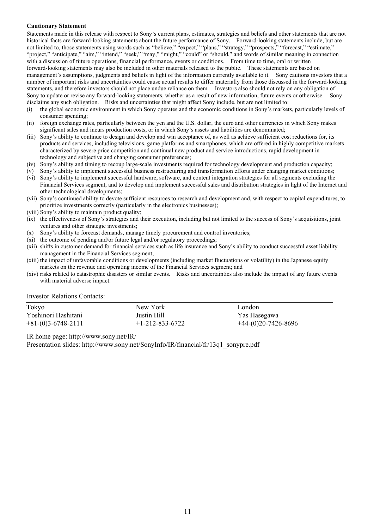#### **Cautionary Statement**

Statements made in this release with respect to Sony's current plans, estimates, strategies and beliefs and other statements that are not historical facts are forward-looking statements about the future performance of Sony. Forward-looking statements include, but are not limited to, those statements using words such as "believe," "expect," "plans," "strategy," "prospects," "forecast," "estimate," "project," "anticipate," "aim," "intend," "seek," "may," "might," "could" or "should," and words of similar meaning in connection with a discussion of future operations, financial performance, events or conditions. From time to time, oral or written forward-looking statements may also be included in other materials released to the public. These statements are based on management's assumptions, judgments and beliefs in light of the information currently available to it. Sony cautions investors that a number of important risks and uncertainties could cause actual results to differ materially from those discussed in the forward-looking statements, and therefore investors should not place undue reliance on them. Investors also should not rely on any obligation of Sony to update or revise any forward-looking statements, whether as a result of new information, future events or otherwise. Sony disclaims any such obligation. Risks and uncertainties that might affect Sony include, but are not limited to:

- (i) the global economic environment in which Sony operates and the economic conditions in Sony's markets, particularly levels of consumer spending;
- (ii) foreign exchange rates, particularly between the yen and the U.S. dollar, the euro and other currencies in which Sony makes significant sales and incurs production costs, or in which Sony's assets and liabilities are denominated;
- (iii) Sony's ability to continue to design and develop and win acceptance of, as well as achieve sufficient cost reductions for, its products and services, including televisions, game platforms and smartphones, which are offered in highly competitive markets characterized by severe price competition and continual new product and service introductions, rapid development in technology and subjective and changing consumer preferences;
- (iv) Sony's ability and timing to recoup large-scale investments required for technology development and production capacity;
- (v) Sony's ability to implement successful business restructuring and transformation efforts under changing market conditions;
- (vi) Sony's ability to implement successful hardware, software, and content integration strategies for all segments excluding the Financial Services segment, and to develop and implement successful sales and distribution strategies in light of the Internet and other technological developments;
- (vii) Sony's continued ability to devote sufficient resources to research and development and, with respect to capital expenditures, to prioritize investments correctly (particularly in the electronics businesses);
- (viii) Sony's ability to maintain product quality;
- (ix) the effectiveness of Sony's strategies and their execution, including but not limited to the success of Sony's acquisitions, joint ventures and other strategic investments;
- (x) Sony's ability to forecast demands, manage timely procurement and control inventories;
- (xi) the outcome of pending and/or future legal and/or regulatory proceedings;
- (xii) shifts in customer demand for financial services such as life insurance and Sony's ability to conduct successful asset liability management in the Financial Services segment;
- (xiii) the impact of unfavorable conditions or developments (including market fluctuations or volatility) in the Japanese equity markets on the revenue and operating income of the Financial Services segment; and
- (xiv) risks related to catastrophic disasters or similar events. Risks and uncertainties also include the impact of any future events with material adverse impact.

Investor Relations Contacts:

| Tokyo                | New York                | London                |
|----------------------|-------------------------|-----------------------|
| Yoshinori Hashitani  | Justin Hill             | Yas Hasegawa          |
| $+81-(0)3-6748-2111$ | $+1 - 212 - 833 - 6722$ | $+44-(0)20-7426-8696$ |

IR home page: http://www.sony.net/IR/

Presentation slides: http://www.sony.net/SonyInfo/IR/financial/fr/13q1\_sonypre.pdf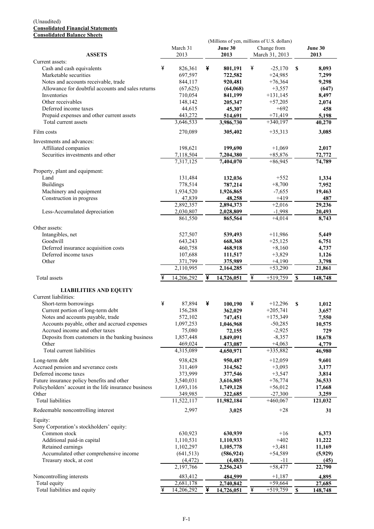#### (Unaudited) **Consolidated Financial Statements Consolidated Balance Sheets**

| <u>Consonuateu Dalance Sheets</u>                     | (Millions of yen, millions of U.S. dollars) |            |   |            |   |                |                           |         |
|-------------------------------------------------------|---------------------------------------------|------------|---|------------|---|----------------|---------------------------|---------|
|                                                       | June 30<br>March 31                         |            |   |            |   | Change from    |                           | June 30 |
| <b>ASSETS</b>                                         |                                             | 2013       |   | 2013       |   | March 31, 2013 |                           | 2013    |
| Current assets:                                       |                                             |            |   |            |   |                |                           |         |
| Cash and cash equivalents                             | ¥                                           | 826,361    | ¥ | 801,191    | ¥ | $-25,170$      | S                         | 8,093   |
| Marketable securities                                 |                                             | 697,597    |   | 722,582    |   | $+24,985$      |                           | 7,299   |
| Notes and accounts receivable, trade                  |                                             | 844,117    |   | 920,481    |   | $+76,364$      |                           | 9,298   |
| Allowance for doubtful accounts and sales returns     |                                             | (67, 625)  |   | (64,068)   |   | $+3,557$       |                           | (647)   |
| Inventories                                           |                                             | 710,054    |   | 841,199    |   | $+131,145$     |                           | 8,497   |
| Other receivables                                     |                                             | 148,142    |   | 205,347    |   | $+57,205$      |                           | 2,074   |
| Deferred income taxes                                 |                                             | 44,615     |   | 45,307     |   | $+692$         |                           | 458     |
| Prepaid expenses and other current assets             |                                             | 443,272    |   | 514,691    |   | $+71,419$      |                           | 5,198   |
| Total current assets                                  |                                             | 3,646,533  |   | 3,986,730  |   | $+340,197$     |                           | 40,270  |
| Film costs                                            |                                             | 270,089    |   | 305,402    |   | $+35,313$      |                           | 3,085   |
| Investments and advances:                             |                                             |            |   |            |   |                |                           |         |
| Affiliated companies                                  |                                             | 198,621    |   | 199,690    |   | $+1,069$       |                           | 2,017   |
| Securities investments and other                      |                                             | 7,118,504  |   | 7,204,380  |   | $+85,876$      |                           | 72,772  |
|                                                       |                                             | 7,317,125  |   | 7,404,070  |   | $+86,945$      |                           | 74,789  |
|                                                       |                                             |            |   |            |   |                |                           |         |
| Property, plant and equipment:                        |                                             |            |   |            |   |                |                           |         |
| Land                                                  |                                             | 131,484    |   | 132,036    |   | $+552$         |                           | 1,334   |
| <b>Buildings</b>                                      |                                             | 778,514    |   | 787,214    |   | $+8,700$       |                           | 7,952   |
| Machinery and equipment                               |                                             | 1,934,520  |   | 1,926,865  |   | $-7,655$       |                           | 19,463  |
| Construction in progress                              |                                             | 47,839     |   | 48,258     |   | $+419$         |                           | 487     |
|                                                       |                                             | 2,892,357  |   | 2,894,373  |   | $+2,016$       |                           | 29,236  |
| Less-Accumulated depreciation                         |                                             | 2,030,807  |   | 2,028,809  |   | $-1,998$       |                           | 20,493  |
|                                                       |                                             | 861,550    |   | 865,564    |   | $+4,014$       |                           | 8,743   |
| Other assets:                                         |                                             |            |   |            |   |                |                           |         |
| Intangibles, net                                      |                                             | 527,507    |   | 539,493    |   | $+11,986$      |                           | 5,449   |
| Goodwill                                              |                                             | 643,243    |   | 668,368    |   | $+25,125$      |                           | 6,751   |
| Deferred insurance acquisition costs                  |                                             | 460,758    |   | 468,918    |   | $+8,160$       |                           | 4,737   |
| Deferred income taxes                                 |                                             | 107,688    |   | 111,517    |   | $+3,829$       |                           | 1,126   |
| Other                                                 |                                             | 371,799    |   | 375,989    |   | $+4,190$       |                           | 3,798   |
|                                                       |                                             | 2,110,995  |   | 2,164,285  |   | $+53,290$      |                           | 21,861  |
| Total assets                                          | ¥                                           | 14,206,292 | ¥ | 14,726,051 | ¥ | $+519,759$     | \$                        | 148,748 |
|                                                       |                                             |            |   |            |   |                |                           |         |
| <b>LIABILITIES AND EQUITY</b>                         |                                             |            |   |            |   |                |                           |         |
| Current liabilities:                                  |                                             |            |   |            |   |                |                           |         |
| Short-term borrowings                                 | ¥                                           | 87,894     | ¥ | 100,190    | ¥ | $+12,296$      | S                         | 1,012   |
| Current portion of long-term debt                     |                                             | 156,288    |   | 362,029    |   | $+205,741$     |                           | 3,657   |
| Notes and accounts payable, trade                     |                                             | 572,102    |   | 747,451    |   | $+175,349$     |                           | 7,550   |
| Accounts payable, other and accrued expenses          |                                             | 1,097,253  |   | 1,046,968  |   | $-50,285$      |                           | 10,575  |
| Accrued income and other taxes                        |                                             | 75,080     |   | 72,155     |   | $-2,925$       |                           | 729     |
| Deposits from customers in the banking business       |                                             | 1,857,448  |   | 1,849,091  |   | $-8,357$       |                           | 18,678  |
| Other                                                 |                                             | 469,024    |   | 473,087    |   | $+4,063$       |                           | 4,779   |
| Total current liabilities                             |                                             | 4,315,089  |   | 4,650,971  |   | $+335,882$     |                           | 46,980  |
|                                                       |                                             |            |   |            |   |                |                           |         |
| Long-term debt                                        |                                             | 938,428    |   | 950,487    |   | $+12,059$      |                           | 9,601   |
| Accrued pension and severance costs                   |                                             | 311,469    |   | 314,562    |   | $+3,093$       |                           | 3,177   |
| Deferred income taxes                                 |                                             | 373,999    |   | 377,546    |   | $+3,547$       |                           | 3,814   |
| Future insurance policy benefits and other            |                                             | 3,540,031  |   | 3,616,805  |   | $+76,774$      |                           | 36,533  |
| Policyholders' account in the life insurance business |                                             | 1,693,116  |   | 1,749,128  |   | $+56,012$      |                           | 17,668  |
| Other                                                 |                                             | 349,985    |   | 322,685    |   | $-27,300$      |                           | 3,259   |
| Total liabilities                                     |                                             | 11,522,117 |   | 11,982,184 |   | $+460,067$     |                           | 121,032 |
| Redeemable noncontrolling interest                    |                                             | 2,997      |   | 3,025      |   | $+28$          |                           | 31      |
| Equity:                                               |                                             |            |   |            |   |                |                           |         |
| Sony Corporation's stockholders' equity:              |                                             |            |   |            |   |                |                           |         |
| Common stock                                          |                                             | 630,923    |   | 630,939    |   | $+16$          |                           | 6,373   |
| Additional paid-in capital                            |                                             | 1,110,531  |   | 1,110,933  |   | $+402$         |                           | 11,222  |
| Retained earnings                                     |                                             | 1,102,297  |   |            |   | $+3,481$       |                           |         |
| Accumulated other comprehensive income                |                                             | (641, 513) |   | 1,105,778  |   | $+54,589$      |                           | 11,169  |
|                                                       |                                             | (4, 472)   |   | (586, 924) |   | -11            |                           | (5,929) |
| Treasury stock, at cost                               |                                             |            |   | (4, 483)   |   | $+58,477$      |                           | (45)    |
|                                                       |                                             | 2,197,766  |   | 2,256,243  |   |                |                           | 22,790  |
| Noncontrolling interests                              |                                             | 483,412    |   | 484,599    |   | $+1,187$       |                           | 4,895   |
| Total equity                                          |                                             | 2,681,178  |   | 2,740,842  |   | $+59,664$      |                           | 27,685  |
| Total liabilities and equity                          | ¥                                           | 14,206,292 | ¥ | 14,726,051 | ¥ | $+519,759$     | $\boldsymbol{\mathsf{S}}$ | 148,748 |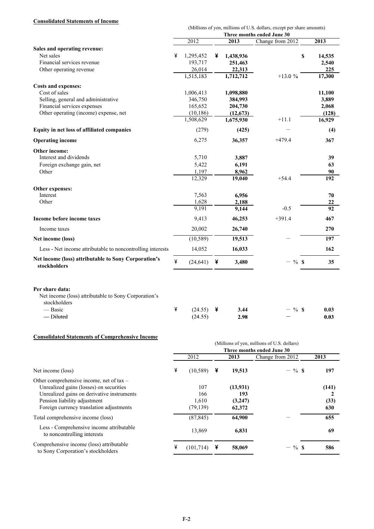### **Consolidated Statements of Income**

|                                                                                                                                                            | (Millions of yen, millions of U.S. dollars, except per share amounts) |                                                           |   |                                                           |                            |                                             |  |  |
|------------------------------------------------------------------------------------------------------------------------------------------------------------|-----------------------------------------------------------------------|-----------------------------------------------------------|---|-----------------------------------------------------------|----------------------------|---------------------------------------------|--|--|
|                                                                                                                                                            |                                                                       |                                                           |   |                                                           | Three months ended June 30 |                                             |  |  |
|                                                                                                                                                            |                                                                       | 2012                                                      |   | 2013                                                      | Change from 2012           | 2013                                        |  |  |
| Sales and operating revenue:<br>Net sales<br>Financial services revenue<br>Other operating revenue                                                         | ¥                                                                     | 1,295,452<br>193,717<br>26,014<br>1,515,183               | ¥ | 1,438,936<br>251,463<br>22,313<br>1,712,712               | \$<br>$+13.0%$             | 14,535<br>2,540<br>225<br>17,300            |  |  |
| <b>Costs and expenses:</b><br>Cost of sales<br>Selling, general and administrative<br>Financial services expenses<br>Other operating (income) expense, net |                                                                       | 1,006,413<br>346,750<br>165,652<br>(10, 186)<br>1,508,629 |   | 1,098,880<br>384,993<br>204,730<br>(12, 673)<br>1,675,930 | $+11.1$                    | 11,100<br>3,889<br>2,068<br>(128)<br>16,929 |  |  |
| Equity in net loss of affiliated companies                                                                                                                 |                                                                       | (279)                                                     |   | (425)                                                     |                            | (4)                                         |  |  |
| <b>Operating income</b>                                                                                                                                    |                                                                       | 6,275                                                     |   | 36,357                                                    | $+479.4$                   | 367                                         |  |  |
| Other income:<br>Interest and dividends<br>Foreign exchange gain, net<br>Other                                                                             |                                                                       | 5,710<br>5,422<br>1,197<br>12,329                         |   | 3,887<br>6,191<br>8,962<br>19,040                         | $+54.4$                    | 39<br>63<br>90<br>192                       |  |  |
| Other expenses:<br>Interest<br>Other                                                                                                                       |                                                                       | 7,563<br>1,628<br>9,191                                   |   | 6,956<br>2,188<br>9,144                                   | $-0.5$                     | 70<br>22<br>92                              |  |  |
| Income before income taxes                                                                                                                                 |                                                                       | 9,413                                                     |   | 46,253                                                    | $+391.4$                   | 467                                         |  |  |
| Income taxes                                                                                                                                               |                                                                       | 20,002                                                    |   | 26,740                                                    |                            | 270                                         |  |  |
| Net income (loss)                                                                                                                                          |                                                                       | (10, 589)                                                 |   | 19,513                                                    |                            | 197                                         |  |  |
| Less - Net income attributable to noncontrolling interests                                                                                                 |                                                                       | 14,052                                                    |   | 16,033                                                    |                            | 162                                         |  |  |
| Net income (loss) attributable to Sony Corporation's<br>stockholders                                                                                       | ¥                                                                     | (24, 641)                                                 | ¥ | 3,480                                                     | $-$ % \$                   | 35                                          |  |  |
| Per share data:<br>Net income (loss) attributable to Sony Corporation's<br>stockholders<br>— Basic<br>— Diluted                                            | ¥                                                                     | (24.55)<br>(24.55)                                        | ¥ | 3.44<br>2.98                                              | % S                        | 0.03<br>0.03                                |  |  |

#### **Consolidated Statements of Comprehensive Income**

|                                                                                                                                                                                                                 | (Millions of yen, millions of U.S. dollars)<br>Three months ended June 30 |                                  |   |                                      |                                 |                           |  |  |
|-----------------------------------------------------------------------------------------------------------------------------------------------------------------------------------------------------------------|---------------------------------------------------------------------------|----------------------------------|---|--------------------------------------|---------------------------------|---------------------------|--|--|
|                                                                                                                                                                                                                 |                                                                           | 2012                             |   | 2013                                 | Change from 2012                | 2013                      |  |  |
| Net income (loss)                                                                                                                                                                                               | ¥                                                                         | (10, 589)                        | ¥ | 19,513                               | $-$ % $\boldsymbol{\mathsf{s}}$ | 197                       |  |  |
| Other comprehensive income, net of $tax -$<br>Unrealized gains (losses) on securities<br>Unrealized gains on derivative instruments<br>Pension liability adjustment<br>Foreign currency translation adjustments |                                                                           | 107<br>166<br>1,610<br>(79, 139) |   | (13,931)<br>193<br>(3,247)<br>62,372 |                                 | (141)<br>2<br>(33)<br>630 |  |  |
| Total comprehensive income (loss)                                                                                                                                                                               |                                                                           | (87, 845)                        |   | 64,900                               |                                 | 655                       |  |  |
| Less - Comprehensive income attributable<br>to noncontrolling interests                                                                                                                                         |                                                                           | 13,869                           |   | 6,831                                |                                 | 69                        |  |  |
| Comprehensive income (loss) attributable<br>to Sony Corporation's stockholders                                                                                                                                  | ¥                                                                         | (101, 714)                       |   | 58,069                               | $-$ % \$                        | 586                       |  |  |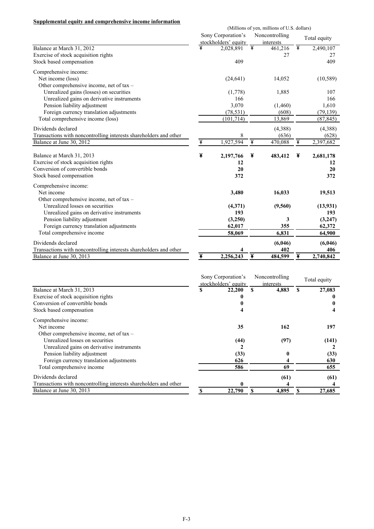### **Supplemental equity and comprehensive income information**

|                                                                   | (Millions of yen, millions of U.S. dollars) |                                            |   |                             |   |              |  |  |
|-------------------------------------------------------------------|---------------------------------------------|--------------------------------------------|---|-----------------------------|---|--------------|--|--|
|                                                                   |                                             | Sony Corporation's<br>stockholders' equity |   | Noncontrolling<br>interests |   | Total equity |  |  |
| Balance at March 31, 2012                                         | ¥                                           | 2,028,891                                  | ¥ | 461,216                     | ¥ | 2,490,107    |  |  |
| Exercise of stock acquisition rights                              |                                             |                                            |   | 27                          |   | 27           |  |  |
| Stock based compensation                                          |                                             | 409                                        |   |                             |   | 409          |  |  |
| Comprehensive income:                                             |                                             |                                            |   |                             |   |              |  |  |
| Net income (loss)                                                 |                                             | (24, 641)                                  |   | 14,052                      |   | (10, 589)    |  |  |
| Other comprehensive income, net of tax -                          |                                             |                                            |   |                             |   |              |  |  |
| Unrealized gains (losses) on securities                           |                                             | (1,778)                                    |   | 1,885                       |   | 107          |  |  |
| Unrealized gains on derivative instruments                        |                                             | 166                                        |   |                             |   | 166          |  |  |
| Pension liability adjustment                                      |                                             | 3,070                                      |   | (1,460)                     |   | 1,610        |  |  |
| Foreign currency translation adjustments                          |                                             | (78, 531)                                  |   | (608)                       |   | (79, 139)    |  |  |
| Total comprehensive income (loss)                                 |                                             | (101, 714)                                 |   | 13,869                      |   | (87, 845)    |  |  |
| Dividends declared                                                |                                             |                                            |   | (4,388)                     |   | (4,388)      |  |  |
| Transactions with noncontrolling interests shareholders and other |                                             | 8                                          |   | (636)                       |   | (628)        |  |  |
| Balance at June 30, 2012                                          | ¥                                           | 1,927,594                                  | ¥ | 470,088                     | ¥ | 2,397,682    |  |  |
| Balance at March 31, 2013                                         | ¥                                           | 2,197,766                                  | ¥ | 483,412                     | ¥ | 2,681,178    |  |  |
| Exercise of stock acquisition rights                              |                                             | 12                                         |   |                             |   | 12           |  |  |
| Conversion of convertible bonds                                   |                                             | 20                                         |   |                             |   | 20           |  |  |
| Stock based compensation                                          |                                             | 372                                        |   |                             |   | 372          |  |  |
| Comprehensive income:                                             |                                             |                                            |   |                             |   |              |  |  |
| Net income                                                        |                                             | 3,480                                      |   | 16,033                      |   | 19,513       |  |  |
| Other comprehensive income, net of tax -                          |                                             |                                            |   |                             |   |              |  |  |
| Unrealized losses on securities                                   |                                             | (4, 371)                                   |   | (9,560)                     |   | (13, 931)    |  |  |
| Unrealized gains on derivative instruments                        |                                             | 193                                        |   |                             |   | 193          |  |  |
| Pension liability adjustment                                      |                                             | (3,250)                                    |   | 3                           |   | (3,247)      |  |  |
| Foreign currency translation adjustments                          |                                             | 62,017                                     |   | 355                         |   | 62,372       |  |  |
| Total comprehensive income                                        |                                             | 58,069                                     |   | 6,831                       |   | 64,900       |  |  |
| Dividends declared                                                |                                             |                                            |   | (6,046)                     |   | (6,046)      |  |  |
| Transactions with noncontrolling interests shareholders and other |                                             |                                            |   | 402                         |   | 406          |  |  |
| Balance at June 30, 2013                                          | ¥                                           | 2,256,243                                  | ¥ | 484,599                     | ¥ | 2,740,842    |  |  |

|                                                                   | Sony Corporation's<br>stockholders' equity |        | Noncontrolling<br>interests |     | Total equity |
|-------------------------------------------------------------------|--------------------------------------------|--------|-----------------------------|-----|--------------|
| Balance at March 31, 2013                                         | S                                          | 22,200 | \$<br>4,883                 | \$. | 27,083       |
| Exercise of stock acquisition rights                              |                                            |        |                             |     |              |
| Conversion of convertible bonds                                   |                                            |        |                             |     |              |
| Stock based compensation                                          |                                            |        |                             |     |              |
| Comprehensive income:                                             |                                            |        |                             |     |              |
| Net income                                                        |                                            | 35     | 162                         |     | 197          |
| Other comprehensive income, net of tax $-$                        |                                            |        |                             |     |              |
| Unrealized losses on securities                                   |                                            | (44)   | (97)                        |     | (141)        |
| Unrealized gains on derivative instruments                        |                                            |        |                             |     |              |
| Pension liability adjustment                                      |                                            | (33)   | 0                           |     | (33)         |
| Foreign currency translation adjustments                          |                                            | 626    |                             |     | 630          |
| Total comprehensive income                                        |                                            | 586    | 69                          |     | 655          |
| Dividends declared                                                |                                            |        | (61)                        |     | (61)         |
| Transactions with noncontrolling interests shareholders and other |                                            |        |                             |     |              |
| Balance at June 30, 2013                                          |                                            | 22,790 | 4,895                       |     | 27,685       |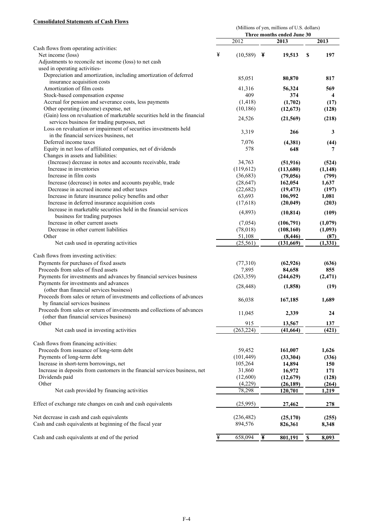## **Consolidated Statements of Cash Flows**

|                                                                             |   |              |   | (Millions of yen, millions of U.S. dollars) |    |          |
|-----------------------------------------------------------------------------|---|--------------|---|---------------------------------------------|----|----------|
|                                                                             |   |              |   | Three months ended June 30                  |    |          |
|                                                                             |   | 2012         |   | 2013                                        |    | 2013     |
| Cash flows from operating activities:                                       | ¥ | $(10,589)$ ¥ |   | 19,513                                      | S  | 197      |
| Net income (loss)<br>Adjustments to reconcile net income (loss) to net cash |   |              |   |                                             |    |          |
| used in operating activities-                                               |   |              |   |                                             |    |          |
| Depreciation and amortization, including amortization of deferred           |   |              |   |                                             |    |          |
| insurance acquisition costs                                                 |   | 85,051       |   | 80,870                                      |    | 817      |
| Amortization of film costs                                                  |   | 41,316       |   | 56,324                                      |    | 569      |
| Stock-based compensation expense                                            |   | 409          |   | 374                                         |    | 4        |
| Accrual for pension and severance costs, less payments                      |   | (1, 418)     |   | (1,702)                                     |    |          |
| Other operating (income) expense, net                                       |   |              |   |                                             |    | (17)     |
| (Gain) loss on revaluation of marketable securities held in the financial   |   | (10, 186)    |   | (12, 673)                                   |    | (128)    |
|                                                                             |   | 24,526       |   | (21, 569)                                   |    | (218)    |
| services business for trading purposes, net                                 |   |              |   |                                             |    |          |
| Loss on revaluation or impairment of securities investments held            |   | 3,319        |   | 266                                         |    | 3        |
| in the financial services business, net                                     |   |              |   |                                             |    |          |
| Deferred income taxes                                                       |   | 7,076        |   | (4,381)                                     |    | (44)     |
| Equity in net loss of affiliated companies, net of dividends                |   | 578          |   | 648                                         |    | 7        |
| Changes in assets and liabilities:                                          |   |              |   |                                             |    |          |
| (Increase) decrease in notes and accounts receivable, trade                 |   | 34,763       |   | (51, 916)                                   |    | (524)    |
| Increase in inventories                                                     |   | (119,612)    |   | (113,680)                                   |    | (1, 148) |
| Increase in film costs                                                      |   | (36,683)     |   | (79,056)                                    |    | (799)    |
| Increase (decrease) in notes and accounts payable, trade                    |   | (28, 647)    |   | 162,054                                     |    | 1,637    |
| Decrease in accrued income and other taxes                                  |   | (22, 682)    |   | (19, 473)                                   |    | (197)    |
| Increase in future insurance policy benefits and other                      |   | 63,693       |   | 106,992                                     |    | 1,081    |
| Increase in deferred insurance acquisition costs                            |   | (17,618)     |   | (20, 049)                                   |    | (203)    |
| Increase in marketable securities held in the financial services            |   | (4,893)      |   | (10, 814)                                   |    | (109)    |
| business for trading purposes                                               |   |              |   |                                             |    |          |
| Increase in other current assets                                            |   | (7,054)      |   | (106,791)                                   |    | (1,079)  |
| Decrease in other current liabilities                                       |   | (78, 018)    |   | (108, 160)                                  |    | (1,093)  |
| Other                                                                       |   | 51,108       |   | (8, 446)                                    |    | (87)     |
| Net cash used in operating activities                                       |   | (25, 561)    |   | (131,669)                                   |    | (1, 331) |
|                                                                             |   |              |   |                                             |    |          |
| Cash flows from investing activities:                                       |   |              |   |                                             |    |          |
| Payments for purchases of fixed assets                                      |   | (77, 310)    |   | (62, 926)                                   |    | (636)    |
| Proceeds from sales of fixed assets                                         |   | 7,895        |   | 84,658                                      |    | 855      |
| Payments for investments and advances by financial services business        |   | (263, 359)   |   | (244, 629)                                  |    | (2, 471) |
| Payments for investments and advances                                       |   | (28, 448)    |   | (1, 858)                                    |    | (19)     |
| (other than financial services business)                                    |   |              |   |                                             |    |          |
| Proceeds from sales or return of investments and collections of advances    |   | 86,038       |   | 167,185                                     |    | 1,689    |
| by financial services business                                              |   |              |   |                                             |    |          |
| Proceeds from sales or return of investments and collections of advances    |   | 11,045       |   | 2,339                                       |    | 24       |
| (other than financial services business)                                    |   |              |   |                                             |    |          |
| Other                                                                       |   | 915          |   | 13,567                                      |    | 137      |
| Net cash used in investing activities                                       |   | (263, 224)   |   | (41, 664)                                   |    | (421)    |
|                                                                             |   |              |   |                                             |    |          |
| Cash flows from financing activities:                                       |   |              |   |                                             |    |          |
| Proceeds from issuance of long-term debt                                    |   | 59,452       |   | 161,007                                     |    | 1,626    |
| Payments of long-term debt                                                  |   | (101, 449)   |   | (33, 304)                                   |    | (336)    |
| Increase in short-term borrowings, net                                      |   | 105,264      |   | 14,894                                      |    | 150      |
| Increase in deposits from customers in the financial services business, net |   | 31,860       |   | 16,972                                      |    | 171      |
| Dividends paid                                                              |   | (12,600)     |   | (12,679)                                    |    | (128)    |
| Other                                                                       |   | (4,229)      |   | (26, 189)                                   |    | (264)    |
| Net cash provided by financing activities                                   |   | 78,298       |   | 120,701                                     |    | 1,219    |
|                                                                             |   |              |   |                                             |    |          |
| Effect of exchange rate changes on cash and cash equivalents                |   | (25,995)     |   | 27,462                                      |    | 278      |
|                                                                             |   |              |   |                                             |    |          |
| Net decrease in cash and cash equivalents                                   |   | (236, 482)   |   | (25,170)                                    |    | (255)    |
| Cash and cash equivalents at beginning of the fiscal year                   |   | 894,576      |   | 826,361                                     |    | 8,348    |
|                                                                             |   |              |   |                                             |    |          |
| Cash and cash equivalents at end of the period                              | ¥ | 658,094      | ¥ | 801,191                                     | \$ | 8,093    |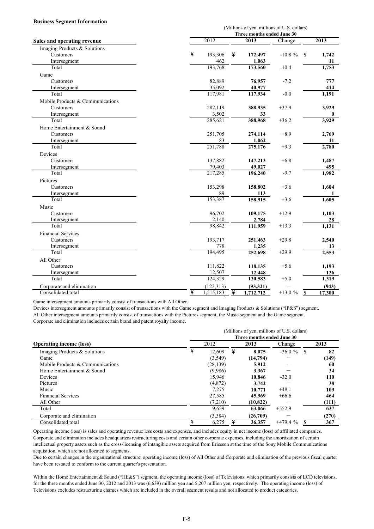#### **Business Segment Information**

|                                  |                |        |           | (Millions of yen, millions of U.S. dollars)<br>Three months ended June 30 |    |          |  |  |  |  |  |
|----------------------------------|----------------|--------|-----------|---------------------------------------------------------------------------|----|----------|--|--|--|--|--|
| Sales and operating revenue      | 2012           |        | 2013      | Change                                                                    |    | 2013     |  |  |  |  |  |
| Imaging Products & Solutions     |                |        |           |                                                                           |    |          |  |  |  |  |  |
| Customers                        | ¥<br>193,306   | ¥      | 172,497   | $-10.8 \%$                                                                | S  | 1,742    |  |  |  |  |  |
| Intersegment                     |                | 462    | 1,063     |                                                                           |    | 11       |  |  |  |  |  |
| Total                            | 193,768        |        | 173,560   | $-10.4$                                                                   |    | 1,753    |  |  |  |  |  |
| Game                             |                |        |           |                                                                           |    |          |  |  |  |  |  |
| Customers                        |                | 82,889 | 76,957    | $-7.2$                                                                    |    | 777      |  |  |  |  |  |
| Intersegment                     |                | 35,092 | 40,977    |                                                                           |    | 414      |  |  |  |  |  |
| Total                            | 117,981        |        | 117,934   | $-0.0$                                                                    |    | 1,191    |  |  |  |  |  |
| Mobile Products & Communications |                |        |           |                                                                           |    |          |  |  |  |  |  |
| Customers                        | 282,119        |        | 388,935   | $+37.9$                                                                   |    | 3,929    |  |  |  |  |  |
| Intersegment                     |                | 3,502  | 33        |                                                                           |    | $\bf{0}$ |  |  |  |  |  |
| Total                            | 285,621        |        | 388,968   | $+36.2$                                                                   |    | 3,929    |  |  |  |  |  |
| Home Entertainment & Sound       |                |        |           |                                                                           |    |          |  |  |  |  |  |
| Customers                        | 251,705        |        | 274,114   | $+8.9$                                                                    |    | 2,769    |  |  |  |  |  |
| Intersegment                     |                | 83     | 1,062     |                                                                           |    | 11       |  |  |  |  |  |
| Total                            | 251,788        |        | 275,176   | $+9.3$                                                                    |    | 2,780    |  |  |  |  |  |
| Devices                          |                |        |           |                                                                           |    |          |  |  |  |  |  |
| Customers                        | 137,882        |        | 147,213   | $+6.8$                                                                    |    | 1,487    |  |  |  |  |  |
| Intersegment                     |                | 79,403 | 49,027    |                                                                           |    | 495      |  |  |  |  |  |
| Total                            | 217,285        |        | 196,240   | $-9.7$                                                                    |    | 1,982    |  |  |  |  |  |
| Pictures                         |                |        |           |                                                                           |    |          |  |  |  |  |  |
| Customers                        | 153,298        |        | 158,802   | $+3.6$                                                                    |    | 1,604    |  |  |  |  |  |
| Intersegment                     |                | 89     | 113       |                                                                           |    |          |  |  |  |  |  |
| Total                            | 153,387        |        | 158,915   | $+3.6$                                                                    |    | 1,605    |  |  |  |  |  |
| Music                            |                |        |           |                                                                           |    |          |  |  |  |  |  |
| Customers                        |                | 96,702 | 109,175   | $+12.9$                                                                   |    | 1,103    |  |  |  |  |  |
| Intersegment                     |                | 2,140  | 2,784     |                                                                           |    | 28       |  |  |  |  |  |
| Total                            |                | 98,842 | 111,959   | $+13.3$                                                                   |    | 1,131    |  |  |  |  |  |
| <b>Financial Services</b>        |                |        |           |                                                                           |    |          |  |  |  |  |  |
| Customers                        | 193,717        |        | 251,463   | $+29.8$                                                                   |    | 2,540    |  |  |  |  |  |
| Intersegment                     |                | 778    | 1,235     |                                                                           |    | 13       |  |  |  |  |  |
| Total                            | 194,495        |        | 252,698   | $+29.9$                                                                   |    | 2,553    |  |  |  |  |  |
| All Other                        |                |        |           |                                                                           |    |          |  |  |  |  |  |
| Customers                        | 111,822        |        | 118,135   | $+5.6$                                                                    |    | 1,193    |  |  |  |  |  |
| Intersegment                     |                | 12,507 | 12,448    |                                                                           |    | 126      |  |  |  |  |  |
| Total                            | 124,329        |        | 130,583   | $+5.0$                                                                    |    | 1,319    |  |  |  |  |  |
| Corporate and elimination        | (122, 313)     |        | (93,321)  |                                                                           |    | (943)    |  |  |  |  |  |
| Consolidated total               | ¥<br>1,515,183 | ¥      | 1,712,712 | $+13.0%$                                                                  | -S | 17,300   |  |  |  |  |  |
|                                  |                |        |           |                                                                           |    |          |  |  |  |  |  |

Game intersegment amounts primarily consist of transactions with All Other.

Devices intersegment amounts primarily consist of transactions with the Game segment and Imaging Products & Solutions ("IP&S") segment. All Other intersegment amounts primarily consist of transactions with the Pictures segment, the Music segment and the Game segment. Corporate and elimination includes certain brand and patent royalty income.

|                                  | (Millions of yen, millions of U.S. dollars) |                            |  |           |               |  |       |  |  |  |  |
|----------------------------------|---------------------------------------------|----------------------------|--|-----------|---------------|--|-------|--|--|--|--|
|                                  |                                             | Three months ended June 30 |  |           |               |  |       |  |  |  |  |
| <b>Operating income (loss)</b>   |                                             | 2012                       |  | 2013      | Change        |  | 2013  |  |  |  |  |
| Imaging Products & Solutions     | ¥                                           | 12.609                     |  | 8.075     | $-36.0 \%$ \$ |  | 82    |  |  |  |  |
| Game                             |                                             | (3,549)                    |  | (14,794)  |               |  | (149) |  |  |  |  |
| Mobile Products & Communications |                                             | (28, 139)                  |  | 5,912     |               |  | 60    |  |  |  |  |
| Home Entertainment & Sound       |                                             | (9,986)                    |  | 3,367     |               |  | 34    |  |  |  |  |
| Devices                          |                                             | 15,946                     |  | 10.846    | $-32.0$       |  | 110   |  |  |  |  |
| Pictures                         |                                             | (4,872)                    |  | 3,742     |               |  | 38    |  |  |  |  |
| Music                            |                                             | 7,275                      |  | 10,771    | $+48.1$       |  | 109   |  |  |  |  |
| <b>Financial Services</b>        |                                             | 27,585                     |  | 45,969    | $+66.6$       |  | 464   |  |  |  |  |
| All Other                        |                                             | (7,210)                    |  | (10, 822) |               |  | (111) |  |  |  |  |
| Total                            |                                             | 9,659                      |  | 63,066    | $+552.9$      |  | 637   |  |  |  |  |
| Corporate and elimination        |                                             | (3,384)                    |  | (26,709)  |               |  | (270) |  |  |  |  |
| Consolidated total               |                                             | 6,275                      |  | 36,357    | $+479.4%$     |  | 367   |  |  |  |  |

Operating income (loss) is sales and operating revenue less costs and expenses, and includes equity in net income (loss) of affiliated companies. Corporate and elimination includes headquarters restructuring costs and certain other corporate expenses, including the amortization of certain intellectual property assets such as the cross-licensing of intangible assets acquired from Ericsson at the time of the Sony Mobile Communications acquisition, which are not allocated to segments.

Due to certain changes in the organizational structure, operating income (loss) of All Other and Corporate and elimination of the previous fiscal quarter have been restated to conform to the current quarter's presentation.

Within the Home Entertainment & Sound ("HE&S") segment, the operating income (loss) of Televisions, which primarily consists of LCD televisions, for the three months ended June 30, 2012 and 2013 was (6,639) million yen and 5,207 million yen, respectively. The operating income (loss) of Televisions excludes restructuring charges which are included in the overall segment results and not allocated to product categories.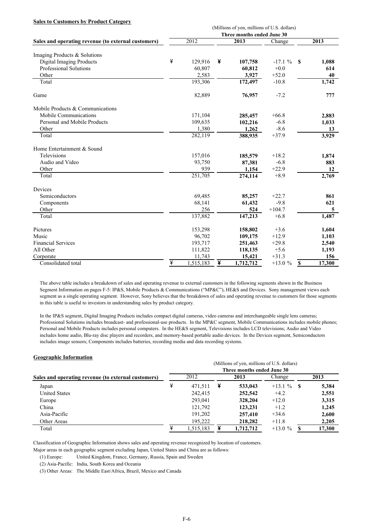#### **Sales to Customers by Product Category**

|                                                     | (Millions of yen, millions of U.S. dollars) |           |   |                            |          |              |        |  |  |  |  |
|-----------------------------------------------------|---------------------------------------------|-----------|---|----------------------------|----------|--------------|--------|--|--|--|--|
|                                                     |                                             |           |   | Three months ended June 30 |          |              |        |  |  |  |  |
| Sales and operating revenue (to external customers) |                                             | 2012      |   | 2013                       | Change   |              | 2013   |  |  |  |  |
| Imaging Products & Solutions                        |                                             |           |   |                            |          |              |        |  |  |  |  |
| <b>Digital Imaging Products</b>                     | ¥                                           | 129,916   | ¥ | 107,758                    | $-17.1%$ | S            | 1,088  |  |  |  |  |
| Professional Solutions                              |                                             | 60,807    |   | 60,812                     | $+0.0$   |              | 614    |  |  |  |  |
| Other                                               |                                             | 2,583     |   | 3,927                      | $+52.0$  |              | 40     |  |  |  |  |
| Total                                               |                                             | 193,306   |   | 172,497                    | $-10.8$  |              | 1,742  |  |  |  |  |
|                                                     |                                             |           |   |                            |          |              |        |  |  |  |  |
| Game                                                |                                             | 82,889    |   | 76,957                     | $-7.2$   |              | 777    |  |  |  |  |
| Mobile Products & Communications                    |                                             |           |   |                            |          |              |        |  |  |  |  |
| Mobile Communications                               |                                             | 171,104   |   | 285,457                    | $+66.8$  |              | 2,883  |  |  |  |  |
| Personal and Mobile Products                        |                                             | 109,635   |   | 102,216                    | $-6.8$   |              | 1,033  |  |  |  |  |
| Other                                               |                                             | 1,380     |   | 1,262                      | $-8.6$   |              | 13     |  |  |  |  |
| Total                                               |                                             | 282,119   |   | 388,935                    | $+37.9$  |              | 3,929  |  |  |  |  |
| Home Entertainment & Sound                          |                                             |           |   |                            |          |              |        |  |  |  |  |
| Televisions                                         |                                             | 157,016   |   | 185,579                    | $+18.2$  |              | 1,874  |  |  |  |  |
| Audio and Video                                     |                                             | 93,750    |   | 87,381                     | $-6.8$   |              | 883    |  |  |  |  |
| Other                                               |                                             | 939       |   | 1,154                      | $+22.9$  |              | 12     |  |  |  |  |
| Total                                               |                                             | 251,705   |   | $\overline{274,114}$       | $+8.9$   |              | 2,769  |  |  |  |  |
| Devices                                             |                                             |           |   |                            |          |              |        |  |  |  |  |
| Semiconductors                                      |                                             | 69,485    |   | 85,257                     | $+22.7$  |              | 861    |  |  |  |  |
| Components                                          |                                             | 68,141    |   | 61,432                     | $-9.8$   |              | 621    |  |  |  |  |
| Other                                               |                                             | 256       |   | 524                        | $+104.7$ |              | 5      |  |  |  |  |
| Total                                               |                                             | 137,882   |   | 147,213                    | $+6.8$   |              | 1,487  |  |  |  |  |
| Pictures                                            |                                             | 153,298   |   | 158,802                    | $+3.6$   |              | 1,604  |  |  |  |  |
| Music                                               |                                             | 96,702    |   | 109,175                    | $+12.9$  |              | 1,103  |  |  |  |  |
| <b>Financial Services</b>                           |                                             | 193,717   |   | 251,463                    | $+29.8$  |              | 2,540  |  |  |  |  |
| All Other                                           |                                             | 111,822   |   | 118,135                    | $+5.6$   |              | 1,193  |  |  |  |  |
| Corporate                                           |                                             | 11,743    |   | 15,421                     | $+31.3$  |              | 156    |  |  |  |  |
| Consolidated total                                  | ¥                                           | 1,515,183 | ¥ | 1,712,712                  | $+13.0%$ | $\mathbf{s}$ | 17,300 |  |  |  |  |

The above table includes a breakdown of sales and operating revenue to external customers in the following segments shown in the Business Segment Information on pages F-5: IP&S, Mobile Products & Communications ("MP&C"), HE&S and Devices. Sony management views each segment as a single operating segment. However, Sony believes that the breakdown of sales and operating revenue to customers for those segments in this table is useful to investors in understanding sales by product category.

In the IP&S segment, Digital Imaging Products includes compact digital cameras, video cameras and interchangeable single lens cameras; Professional Solutions includes broadcast- and professional-use products. In the MP&C segment, Mobile Communications includes mobile phones; Personal and Mobile Products includes personal computers. In the HE&S segment, Televisions includes LCD televisions; Audio and Video includes home audio, Blu-ray disc players and recorders, and memory-based portable audio devices. In the Devices segment, Semiconductors includes image sensors; Components includes batteries, recording media and data recording systems.

#### **Geographic Information**

| ocograpme miormation                                |                                             |           |   |                            |             |  |        |  |  |
|-----------------------------------------------------|---------------------------------------------|-----------|---|----------------------------|-------------|--|--------|--|--|
|                                                     | (Millions of yen, millions of U.S. dollars) |           |   |                            |             |  |        |  |  |
|                                                     |                                             |           |   | Three months ended June 30 |             |  |        |  |  |
| Sales and operating revenue (to external customers) |                                             | 2012      |   | 2013                       | Change      |  | 2013   |  |  |
| Japan                                               | ¥                                           | 471,511   | ¥ | 533,043                    | $+13.1%$ \$ |  | 5,384  |  |  |
| <b>United States</b>                                |                                             | 242,415   |   | 252,542                    | $+4.2$      |  | 2,551  |  |  |
| Europe                                              |                                             | 293,041   |   | 328,204                    | $+12.0$     |  | 3,315  |  |  |
| China                                               |                                             | 121.792   |   | 123,231                    | $+1.2$      |  | 1.245  |  |  |
| Asia-Pacific                                        |                                             | 191.202   |   | 257,410                    | $+34.6$     |  | 2,600  |  |  |
| Other Areas                                         |                                             | 195.222   |   | 218,282                    | $+11.8$     |  | 2,205  |  |  |
| Total                                               |                                             | 1,515,183 |   | 1,712,712                  | $+13.0%$    |  | 17.300 |  |  |

Classification of Geographic Information shows sales and operating revenue recognized by location of customers.

Major areas in each geographic segment excluding Japan, United States and China are as follows:

(1) Europe: United Kingdom, France, Germany, Russia, Spain and Sweden

(2) Asia-Pacific: India, South Korea and Oceania

(3) Other Areas: The Middle East/Africa, Brazil, Mexico and Canada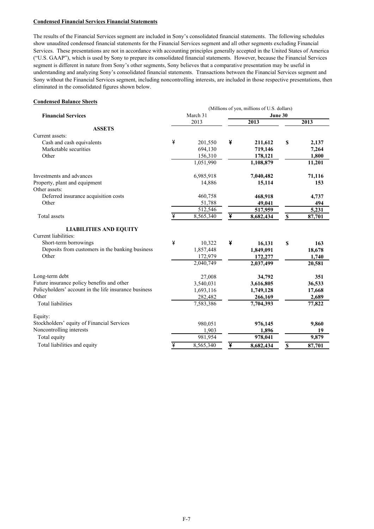#### **Condensed Financial Services Financial Statements**

The results of the Financial Services segment are included in Sony's consolidated financial statements. The following schedules show unaudited condensed financial statements for the Financial Services segment and all other segments excluding Financial Services. These presentations are not in accordance with accounting principles generally accepted in the United States of America ("U.S. GAAP"), which is used by Sony to prepare its consolidated financial statements. However, because the Financial Services segment is different in nature from Sony's other segments, Sony believes that a comparative presentation may be useful in understanding and analyzing Sony's consolidated financial statements. Transactions between the Financial Services segment and Sony without the Financial Services segment, including noncontrolling interests, are included in those respective presentations, then eliminated in the consolidated figures shown below.

#### **Condensed Balance Sheets**

|                                                       |   |           | (Millions of yen, millions of U.S. dollars) |           |             |                    |  |
|-------------------------------------------------------|---|-----------|---------------------------------------------|-----------|-------------|--------------------|--|
| <b>Financial Services</b>                             |   | March 31  |                                             | June 30   |             |                    |  |
|                                                       |   | 2013      |                                             | 2013      |             | 2013               |  |
| <b>ASSETS</b>                                         |   |           |                                             |           |             |                    |  |
| Current assets:                                       |   |           |                                             |           |             |                    |  |
| Cash and cash equivalents                             | ¥ | 201,550   | ¥                                           | 211,612   | \$          | 2,137              |  |
| Marketable securities                                 |   | 694,130   |                                             | 719,146   |             | 7,264              |  |
| Other                                                 |   | 156,310   |                                             | 178,121   |             | 1,800              |  |
|                                                       |   | 1,051,990 |                                             | 1,108,879 |             | 11,201             |  |
| Investments and advances                              |   | 6,985,918 |                                             | 7,040,482 |             | 71,116             |  |
| Property, plant and equipment                         |   | 14,886    |                                             | 15,114    |             | 153                |  |
| Other assets:                                         |   |           |                                             |           |             |                    |  |
| Deferred insurance acquisition costs                  |   | 460,758   |                                             | 468,918   |             | 4,737              |  |
| Other                                                 |   | 51,788    |                                             | 49,041    |             | 494                |  |
|                                                       |   | 512,546   |                                             | 517,959   |             | $\overline{5,231}$ |  |
| Total assets                                          | ¥ | 8,565,340 | ¥                                           | 8,682,434 | $\mathbb S$ | 87,701             |  |
| <b>LIABILITIES AND EQUITY</b>                         |   |           |                                             |           |             |                    |  |
| Current liabilities:                                  |   |           |                                             |           |             |                    |  |
| Short-term borrowings                                 | ¥ | 10,322    | ¥                                           | 16,131    | \$          | 163                |  |
| Deposits from customers in the banking business       |   | 1,857,448 |                                             | 1,849,091 |             | 18,678             |  |
| Other                                                 |   | 172,979   |                                             | 172,277   |             | 1,740              |  |
|                                                       |   | 2,040,749 |                                             | 2,037,499 |             | 20,581             |  |
| Long-term debt                                        |   | 27,008    |                                             | 34,792    |             | 351                |  |
| Future insurance policy benefits and other            |   | 3,540,031 |                                             | 3,616,805 |             | 36,533             |  |
| Policyholders' account in the life insurance business |   | 1,693,116 |                                             | 1,749,128 |             | 17,668             |  |
| Other                                                 |   | 282,482   |                                             | 266,169   |             | 2,689              |  |
| <b>Total liabilities</b>                              |   | 7,583,386 |                                             | 7,704,393 |             | 77,822             |  |
| Equity:                                               |   |           |                                             |           |             |                    |  |
| Stockholders' equity of Financial Services            |   | 980,051   |                                             | 976,145   |             | 9,860              |  |
| Noncontrolling interests                              |   | 1,903     |                                             | 1,896     |             | 19                 |  |
| Total equity                                          |   | 981,954   |                                             | 978,041   |             | 9,879              |  |
| Total liabilities and equity                          | ¥ | 8,565,340 | ¥                                           | 8,682,434 | \$          | 87,701             |  |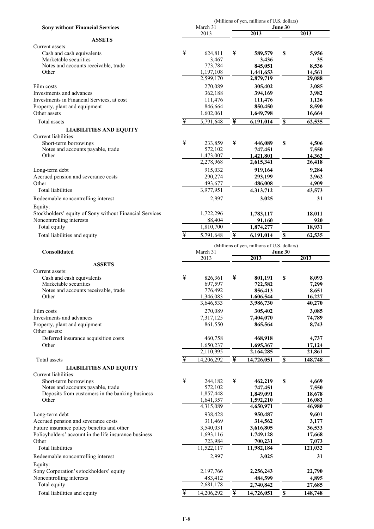|                                                          |   | (Millions of yen, millions of U.S. dollars) |   |                                             |             |                   |  |  |
|----------------------------------------------------------|---|---------------------------------------------|---|---------------------------------------------|-------------|-------------------|--|--|
| <b>Sony without Financial Services</b>                   |   | March 31                                    |   |                                             | June 30     |                   |  |  |
| <b>ASSETS</b>                                            |   | 2013                                        |   | 2013                                        |             | 2013              |  |  |
| Current assets:                                          |   |                                             |   |                                             |             |                   |  |  |
| Cash and cash equivalents                                | ¥ | 624,811                                     | ¥ | 589,579                                     | \$          | 5,956             |  |  |
| Marketable securities                                    |   | 3,467                                       |   | 3,436                                       |             | 35                |  |  |
| Notes and accounts receivable, trade                     |   | 773,784                                     |   | 845,051                                     |             | 8,536             |  |  |
| Other                                                    |   | 1,197,108                                   |   | 1,441,653                                   |             | 14,561            |  |  |
|                                                          |   | 2,599,170                                   |   | 2,879,719                                   |             | 29,088            |  |  |
| Film costs                                               |   | 270,089                                     |   | 305,402                                     |             | 3,085             |  |  |
| Investments and advances                                 |   | 362,188                                     |   | 394,169                                     |             | 3,982             |  |  |
| Investments in Financial Services, at cost               |   | 111,476                                     |   | 111,476                                     |             | 1,126             |  |  |
| Property, plant and equipment<br>Other assets            |   | 846,664                                     |   | 850,450                                     |             | 8,590             |  |  |
|                                                          |   | 1,602,061                                   |   | 1,649,798                                   |             | 16,664            |  |  |
| Total assets                                             | ¥ | 5,791,648                                   | ¥ | 6,191,014                                   | \$          | 62,535            |  |  |
| <b>LIABILITIES AND EQUITY</b>                            |   |                                             |   |                                             |             |                   |  |  |
| Current liabilities:                                     |   |                                             |   |                                             |             |                   |  |  |
| Short-term borrowings                                    | ¥ | 233,859                                     | ¥ | 446,089                                     | \$          | 4,506             |  |  |
| Notes and accounts payable, trade<br>Other               |   | 572,102<br>1,473,007                        |   | 747,451<br>1,421,801                        |             | 7,550<br>14,362   |  |  |
|                                                          |   | 2,278,968                                   |   | 2,615,341                                   |             | 26,418            |  |  |
| Long-term debt                                           |   | 915,032                                     |   | 919,164                                     |             | 9,284             |  |  |
| Accrued pension and severance costs                      |   | 290,274                                     |   | 293,199                                     |             | 2,962             |  |  |
| Other                                                    |   | 493,677                                     |   | 486,008                                     |             | 4,909             |  |  |
| <b>Total liabilities</b>                                 |   | 3,977,951                                   |   | 4,313,712                                   |             | 43,573            |  |  |
| Redeemable noncontrolling interest                       |   | 2,997                                       |   | 3,025                                       |             | 31                |  |  |
| Equity:                                                  |   |                                             |   |                                             |             |                   |  |  |
| Stockholders' equity of Sony without Financial Services  |   | 1,722,296                                   |   | 1,783,117                                   |             | 18,011            |  |  |
| Noncontrolling interests                                 |   | 88,404                                      |   | 91,160                                      |             | 920               |  |  |
| Total equity                                             |   | 1,810,700                                   |   | 1,874,277                                   |             | 18,931            |  |  |
| Total liabilities and equity                             | ¥ | 5,791,648                                   | ¥ | 6,191,014                                   | $\mathbb S$ | 62,535            |  |  |
|                                                          |   |                                             |   |                                             |             |                   |  |  |
|                                                          |   |                                             |   | (Millions of yen, millions of U.S. dollars) |             |                   |  |  |
| Consolidated                                             |   | March 31                                    |   |                                             | June 30     |                   |  |  |
| <b>ASSETS</b>                                            |   | 2013                                        |   | 2013                                        |             | 2013              |  |  |
| Current assets:                                          |   |                                             |   |                                             |             |                   |  |  |
| Cash and cash equivalents                                |   |                                             |   |                                             |             |                   |  |  |
|                                                          | ¥ | 826,361                                     |   |                                             |             |                   |  |  |
| Marketable securities                                    |   | 697,597                                     | ¥ | 801,191<br>722,582                          | \$          | 8,093<br>7,299    |  |  |
| Notes and accounts receivable, trade                     |   | 776,492                                     |   | 856,413                                     |             | 8,651             |  |  |
| Other                                                    |   | 1.346.083                                   |   | 1.606.544                                   |             | 16.227            |  |  |
|                                                          |   | 3,646,533                                   |   | 3,986,730                                   |             | 40,270            |  |  |
| Film costs                                               |   | 270,089                                     |   | 305,402                                     |             | 3,085             |  |  |
| Investments and advances                                 |   | 7,317,125                                   |   | 7,404,070                                   |             | 74,789            |  |  |
| Property, plant and equipment                            |   | 861,550                                     |   | 865,564                                     |             | 8,743             |  |  |
| Other assets:                                            |   |                                             |   |                                             |             |                   |  |  |
| Deferred insurance acquisition costs                     |   | 460,758                                     |   | 468,918                                     |             | 4,737             |  |  |
| Other                                                    |   | 1,650,237                                   |   | 1,695,367                                   |             | 17,124            |  |  |
|                                                          |   | 2,110,995                                   |   | 2,164,285                                   |             | 21,861            |  |  |
| Total assets                                             | ¥ | 14,206,292                                  | ¥ | 14,726,051                                  | $\mathbb S$ | 148,748           |  |  |
| <b>LIABILITIES AND EQUITY</b>                            |   |                                             |   |                                             |             |                   |  |  |
| Current liabilities:                                     |   |                                             |   |                                             |             |                   |  |  |
| Short-term borrowings                                    | ¥ | 244,182                                     | ¥ | 462,219                                     | \$          | 4,669             |  |  |
| Notes and accounts payable, trade                        |   | 572,102                                     |   | 747,451                                     |             | 7,550             |  |  |
| Deposits from customers in the banking business<br>Other |   | 1,857,448<br>1,641,357                      |   | 1,849,091<br>1,592,210                      |             | 18,678<br>16,083  |  |  |
|                                                          |   | 4,315,089                                   |   | 4,650,971                                   |             | 46,980            |  |  |
| Long-term debt                                           |   | 938,428                                     |   | 950,487                                     |             | 9,601             |  |  |
| Accrued pension and severance costs                      |   | 311,469                                     |   | 314,562                                     |             | 3,177             |  |  |
| Future insurance policy benefits and other               |   | 3,540,031                                   |   | 3,616,805                                   |             | 36,533            |  |  |
| Policyholders' account in the life insurance business    |   | 1,693,116                                   |   | 1,749,128                                   |             | 17,668            |  |  |
| Other                                                    |   | 723,984                                     |   | 700,231                                     |             | 7,073             |  |  |
| <b>Total liabilities</b>                                 |   | 11,522,117                                  |   | 11,982,184                                  |             | 121,032           |  |  |
| Redeemable noncontrolling interest                       |   | 2,997                                       |   | 3,025                                       |             | 31                |  |  |
| Equity:                                                  |   |                                             |   |                                             |             |                   |  |  |
| Sony Corporation's stockholders' equity                  |   | 2,197,766                                   |   | 2,256,243                                   |             | 22,790            |  |  |
| Noncontrolling interests                                 |   | 483,412                                     |   | 484,599                                     |             | 4,895             |  |  |
| Total equity<br>Total liabilities and equity             | ¥ | 2,681,178<br>14,206,292                     | ¥ | 2,740,842<br>14,726,051                     | $\mathbb S$ | 27,685<br>148,748 |  |  |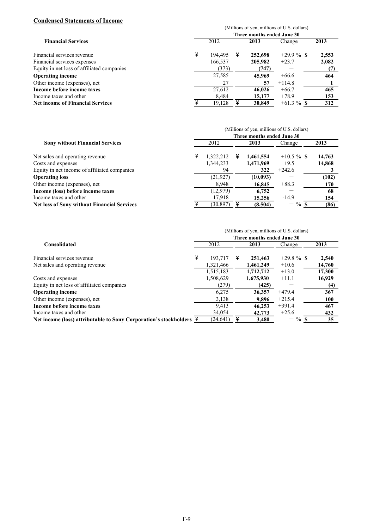## **Condensed Statements of Income**

| (Millions of yen, millions of U.S. dollars) |         |   |         |               |       |  |  |  |
|---------------------------------------------|---------|---|---------|---------------|-------|--|--|--|
| Three months ended June 30                  |         |   |         |               |       |  |  |  |
|                                             | 2012    |   | 2013    | Change        | 2013  |  |  |  |
| ¥                                           | 194.495 | ¥ | 252,698 | $+29.9 \%$ \$ | 2,553 |  |  |  |
|                                             | 166,537 |   | 205,982 | $+23.7$       | 2,082 |  |  |  |
|                                             | (373)   |   | (747)   |               |       |  |  |  |
|                                             | 27,585  |   | 45,969  | $+66.6$       | 464   |  |  |  |
|                                             | 27      |   | 57      | $+114.8$      |       |  |  |  |
|                                             | 27,612  |   | 46,026  | $+66.7$       | 465   |  |  |  |
|                                             | 8.484   |   | 15,177  | $+78.9$       | 153   |  |  |  |
|                                             | 19,128  |   | 30,849  | $+61.3 \%$ \$ | 312   |  |  |  |
|                                             |         |   |         |               |       |  |  |  |

|                                                    | (Millions of yen, millions of U.S. dollars) |           |  |           |                   |        |  |  |  |  |
|----------------------------------------------------|---------------------------------------------|-----------|--|-----------|-------------------|--------|--|--|--|--|
|                                                    | Three months ended June 30                  |           |  |           |                   |        |  |  |  |  |
| <b>Sony without Financial Services</b>             |                                             | 2012      |  | 2013      | Change            | 2013   |  |  |  |  |
| Net sales and operating revenue                    | ¥                                           | 1.322.212 |  | 1,461,554 | $+10.5 \%$ \$     | 14,763 |  |  |  |  |
| Costs and expenses                                 |                                             | 1,344,233 |  | 1,471,969 | $+9.5$            | 14,868 |  |  |  |  |
| Equity in net income of affiliated companies       |                                             | 94        |  | 322       | $+242.6$          |        |  |  |  |  |
| <b>Operating loss</b>                              |                                             | (21, 927) |  | (10,093)  |                   | (102)  |  |  |  |  |
| Other income (expenses), net                       |                                             | 8,948     |  | 16,845    | $+88.3$           | 170    |  |  |  |  |
| Income (loss) before income taxes                  |                                             | (12, 979) |  | 6,752     |                   | 68     |  |  |  |  |
| Income taxes and other                             |                                             | 17,918    |  | 15,256    | $-14.9$           | 154    |  |  |  |  |
| <b>Net loss of Sony without Financial Services</b> |                                             | (30, 897) |  | (8,504)   | $\qquad \qquad -$ | (86)   |  |  |  |  |

|                                                                     | (Millions of yen, millions of U.S. dollars) |           |   |           |                             |  |        |  |  |  |
|---------------------------------------------------------------------|---------------------------------------------|-----------|---|-----------|-----------------------------|--|--------|--|--|--|
|                                                                     | Three months ended June 30                  |           |   |           |                             |  |        |  |  |  |
| Consolidated                                                        |                                             | 2012      |   | 2013      | Change                      |  | 2013   |  |  |  |
| Financial services revenue                                          | ¥                                           | 193.717   | ¥ | 251,463   | $+29.8 \%$ \$               |  | 2,540  |  |  |  |
| Net sales and operating revenue                                     |                                             | 1,321,466 |   | 1,461,249 | $+10.6$                     |  | 14,760 |  |  |  |
|                                                                     |                                             | 1.515.183 |   | 1,712,712 | $+13.0$                     |  | 17.300 |  |  |  |
| Costs and expenses                                                  |                                             | 1,508,629 |   | 1,675,930 | $+11.1$                     |  | 16,929 |  |  |  |
| Equity in net loss of affiliated companies                          |                                             | (279)     |   | (425)     |                             |  | (4)    |  |  |  |
| <b>Operating income</b>                                             |                                             | 6,275     |   | 36,357    | $+479.4$                    |  | 367    |  |  |  |
| Other income (expenses), net                                        |                                             | 3,138     |   | 9,896     | $+215.4$                    |  | 100    |  |  |  |
| Income before income taxes                                          |                                             | 9.413     |   | 46,253    | $+391.4$                    |  | 467    |  |  |  |
| Income taxes and other                                              |                                             | 34.054    |   | 42,773    | $+25.6$                     |  | 432    |  |  |  |
| Net income (loss) attributable to Sony Corporation's stockholders \ |                                             | (24, 641) |   | 3.480     | $%$ \$<br>$\qquad \qquad -$ |  | 35     |  |  |  |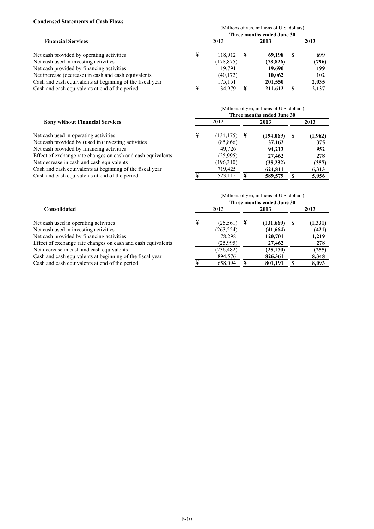### **Condensed Statements of Cash Flows**

| <b>Financial Services</b>                                 | (Millions of yen, millions of U.S. dollars)<br>Three months ended June 30 |              |  |           |      |       |  |  |  |
|-----------------------------------------------------------|---------------------------------------------------------------------------|--------------|--|-----------|------|-------|--|--|--|
|                                                           |                                                                           | 2012<br>2013 |  |           | 2013 |       |  |  |  |
| Net cash provided by operating activities                 |                                                                           | 118.912      |  | 69.198    |      | 699   |  |  |  |
| Net cash used in investing activities                     |                                                                           | (178, 875)   |  | (78, 826) |      | (796) |  |  |  |
| Net cash provided by financing activities                 |                                                                           | 19.791       |  | 19,690    |      | 199   |  |  |  |
| Net increase (decrease) in cash and cash equivalents      |                                                                           | (40, 172)    |  | 10.062    |      | 102   |  |  |  |
| Cash and cash equivalents at beginning of the fiscal year |                                                                           | 175,151      |  | 201,550   |      | 2,035 |  |  |  |
| Cash and cash equivalents at end of the period            |                                                                           | 134,979      |  | 211,612   |      | 2,137 |  |  |  |

|                                                                             | (Millions of yen, millions of U.S. dollars) |                            |   |           |     |         |  |  |  |  |
|-----------------------------------------------------------------------------|---------------------------------------------|----------------------------|---|-----------|-----|---------|--|--|--|--|
|                                                                             |                                             | Three months ended June 30 |   |           |     |         |  |  |  |  |
| <b>Sony without Financial Services</b><br>cash used in operating activities |                                             | 2012                       |   | 2013      |     | 2013    |  |  |  |  |
|                                                                             | ¥                                           | (134, 175)                 | ¥ | (194,069) | - S | (1,962) |  |  |  |  |
| cash provided by (used in) investing activities                             |                                             | (85, 866)                  |   | 37,162    |     | 375     |  |  |  |  |
| cash provided by financing activities                                       |                                             | 49.726                     |   | 94,213    |     | 952     |  |  |  |  |
| et of exchange rate changes on cash and cash equivalents                    |                                             | (25,995)                   |   | 27,462    |     | 278     |  |  |  |  |
| lecrease in cash and cash equivalents                                       |                                             | (196,310)                  |   | (35, 232) |     | (357)   |  |  |  |  |
| and cash equivalents at beginning of the fiscal year                        |                                             | 719,425                    |   | 624,811   |     | 6,313   |  |  |  |  |
| and cash equivalents at end of the period                                   |                                             | 523,115                    |   | 589,579   |     | 5,956   |  |  |  |  |
|                                                                             |                                             |                            |   |           |     |         |  |  |  |  |

|                                                              | (Millions of yen, millions of U.S. dollars) |            |  |           |    |         |  |  |  |
|--------------------------------------------------------------|---------------------------------------------|------------|--|-----------|----|---------|--|--|--|
|                                                              | Three months ended June 30                  |            |  |           |    |         |  |  |  |
| Consolidated                                                 |                                             | 2012       |  | 2013      |    | 2013    |  |  |  |
| Net cash used in operating activities                        |                                             | (25,561)   |  | (131,669) | -S | (1,331) |  |  |  |
| Net cash used in investing activities                        |                                             | (263, 224) |  | (41, 664) |    | (421)   |  |  |  |
| Net cash provided by financing activities                    |                                             | 78.298     |  | 120,701   |    | 1,219   |  |  |  |
| Effect of exchange rate changes on cash and cash equivalents |                                             | (25.995)   |  | 27,462    |    | 278     |  |  |  |
| Net decrease in cash and cash equivalents                    |                                             | (236, 482) |  | (25, 170) |    | (255)   |  |  |  |
| Cash and cash equivalents at beginning of the fiscal year    |                                             | 894.576    |  | 826,361   |    | 8,348   |  |  |  |
| Cash and cash equivalents at end of the period               |                                             | 658.094    |  | 801.191   |    | 8.093   |  |  |  |

### $Net cash used in$

Net cash provided by 1.144 Net cash provide Effect of exchan Net decrease in Cash and cash e

Cash and cash  $e$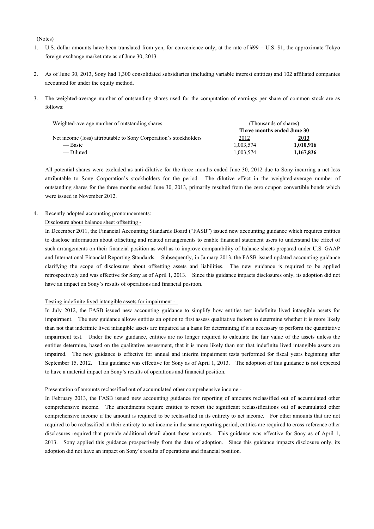#### (Notes)

- 1. U.S. dollar amounts have been translated from yen, for convenience only, at the rate of ¥99 = U.S. \$1, the approximate Tokyo foreign exchange market rate as of June 30, 2013.
- 2. As of June 30, 2013, Sony had 1,300 consolidated subsidiaries (including variable interest entities) and 102 affiliated companies accounted for under the equity method.
- 3. The weighted-average number of outstanding shares used for the computation of earnings per share of common stock are as follows:

| Weighted-average number of outstanding shares                     | (Thousands of shares)      |           |  |  |  |
|-------------------------------------------------------------------|----------------------------|-----------|--|--|--|
|                                                                   | Three months ended June 30 |           |  |  |  |
| Net income (loss) attributable to Sony Corporation's stockholders | 2012                       | 2013      |  |  |  |
| — Basic                                                           | 1.003.574                  | 1.010.916 |  |  |  |
| — Diluted                                                         | 1.003.574                  | 1,167,836 |  |  |  |

All potential shares were excluded as anti-dilutive for the three months ended June 30, 2012 due to Sony incurring a net loss attributable to Sony Corporation's stockholders for the period. The dilutive effect in the weighted-average number of outstanding shares for the three months ended June 30, 2013, primarily resulted from the zero coupon convertible bonds which were issued in November 2012.

4. Recently adopted accounting pronouncements:

#### Disclosure about balance sheet offsetting -

In December 2011, the Financial Accounting Standards Board ("FASB") issued new accounting guidance which requires entities to disclose information about offsetting and related arrangements to enable financial statement users to understand the effect of such arrangements on their financial position as well as to improve comparability of balance sheets prepared under U.S. GAAP and International Financial Reporting Standards. Subsequently, in January 2013, the FASB issued updated accounting guidance clarifying the scope of disclosures about offsetting assets and liabilities. The new guidance is required to be applied retrospectively and was effective for Sony as of April 1, 2013. Since this guidance impacts disclosures only, its adoption did not have an impact on Sony's results of operations and financial position.

#### Testing indefinite lived intangible assets for impairment -

In July 2012, the FASB issued new accounting guidance to simplify how entities test indefinite lived intangible assets for impairment. The new guidance allows entities an option to first assess qualitative factors to determine whether it is more likely than not that indefinite lived intangible assets are impaired as a basis for determining if it is necessary to perform the quantitative impairment test. Under the new guidance, entities are no longer required to calculate the fair value of the assets unless the entities determine, based on the qualitative assessment, that it is more likely than not that indefinite lived intangible assets are impaired. The new guidance is effective for annual and interim impairment tests performed for fiscal years beginning after September 15, 2012. This guidance was effective for Sony as of April 1, 2013. The adoption of this guidance is not expected to have a material impact on Sony's results of operations and financial position.

#### Presentation of amounts reclassified out of accumulated other comprehensive income -

In February 2013, the FASB issued new accounting guidance for reporting of amounts reclassified out of accumulated other comprehensive income. The amendments require entities to report the significant reclassifications out of accumulated other comprehensive income if the amount is required to be reclassified in its entirety to net income. For other amounts that are not required to be reclassified in their entirety to net income in the same reporting period, entities are required to cross-reference other disclosures required that provide additional detail about those amounts. This guidance was effective for Sony as of April 1, 2013. Sony applied this guidance prospectively from the date of adoption. Since this guidance impacts disclosure only, its adoption did not have an impact on Sony's results of operations and financial position.